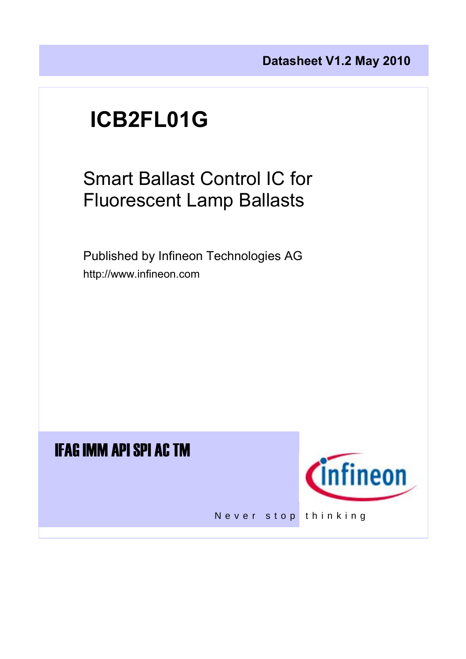# **ICB2FL01G**

Smart Ballast Control IC for Fluorescent Lamp Ballasts

 Published by Infineon Technologies AG http://www.infineon.com

## IFAG IMM API SPI AC TM



Never stop thinking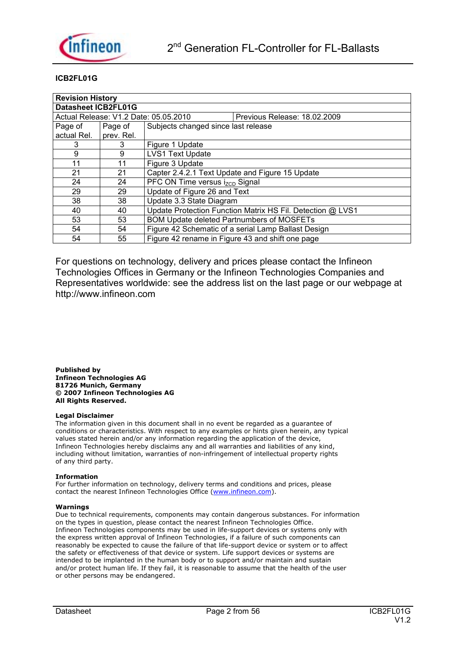

#### **ICB2FL01G**

| <b>Revision History</b>                                               |            |                                                  |                                                            |  |  |  |  |  |  |
|-----------------------------------------------------------------------|------------|--------------------------------------------------|------------------------------------------------------------|--|--|--|--|--|--|
| <b>Datasheet ICB2FL01G</b>                                            |            |                                                  |                                                            |  |  |  |  |  |  |
| Actual Release: V1.2 Date: 05.05.2010<br>Previous Release: 18.02.2009 |            |                                                  |                                                            |  |  |  |  |  |  |
| Page of                                                               | Page of    | Subjects changed since last release              |                                                            |  |  |  |  |  |  |
| actual Rel.                                                           | prev. Rel. |                                                  |                                                            |  |  |  |  |  |  |
| 3                                                                     | 3          | Figure 1 Update                                  |                                                            |  |  |  |  |  |  |
| 9                                                                     | 9          | <b>LVS1 Text Update</b>                          |                                                            |  |  |  |  |  |  |
| 11                                                                    | 11         | Figure 3 Update                                  |                                                            |  |  |  |  |  |  |
| 21                                                                    | 21         | Capter 2.4.2.1 Text Update and Figure 15 Update  |                                                            |  |  |  |  |  |  |
| 24                                                                    | 24         | PFC ON Time versus i <sub>zcp</sub> Signal       |                                                            |  |  |  |  |  |  |
| 29                                                                    | 29         | Update of Figure 26 and Text                     |                                                            |  |  |  |  |  |  |
| 38                                                                    | 38         | Update 3.3 State Diagram                         |                                                            |  |  |  |  |  |  |
| 40                                                                    | 40         |                                                  | Update Protection Function Matrix HS Fil. Detection @ LVS1 |  |  |  |  |  |  |
| 53                                                                    | 53         | <b>BOM Update deleted Partnumbers of MOSFETs</b> |                                                            |  |  |  |  |  |  |
| 54                                                                    | 54         |                                                  | Figure 42 Schematic of a serial Lamp Ballast Design        |  |  |  |  |  |  |
| 54                                                                    | 55         | Figure 42 rename in Figure 43 and shift one page |                                                            |  |  |  |  |  |  |

For questions on technology, delivery and prices please contact the Infineon Technologies Offices in Germany or the Infineon Technologies Companies and Representatives worldwide: see the address list on the last page or our webpage at http://www.infineon.com

**Published by Infineon Technologies AG 81726 Munich, Germany © 2007 Infineon Technologies AG All Rights Reserved.** 

#### **Legal Disclaimer**

The information given in this document shall in no event be regarded as a guarantee of conditions or characteristics. With respect to any examples or hints given herein, any typical values stated herein and/or any information regarding the application of the device, Infineon Technologies hereby disclaims any and all warranties and liabilities of any kind, including without limitation, warranties of non-infringement of intellectual property rights of any third party.

#### **Information**

For further information on technology, delivery terms and conditions and prices, please contact the nearest Infineon Technologies Office (www.infineon.com).

#### **Warnings**

Due to technical requirements, components may contain dangerous substances. For information on the types in question, please contact the nearest Infineon Technologies Office. Infineon Technologies components may be used in life-support devices or systems only with the express written approval of Infineon Technologies, if a failure of such components can reasonably be expected to cause the failure of that life-support device or system or to affect the safety or effectiveness of that device or system. Life support devices or systems are intended to be implanted in the human body or to support and/or maintain and sustain and/or protect human life. If they fail, it is reasonable to assume that the health of the user or other persons may be endangered.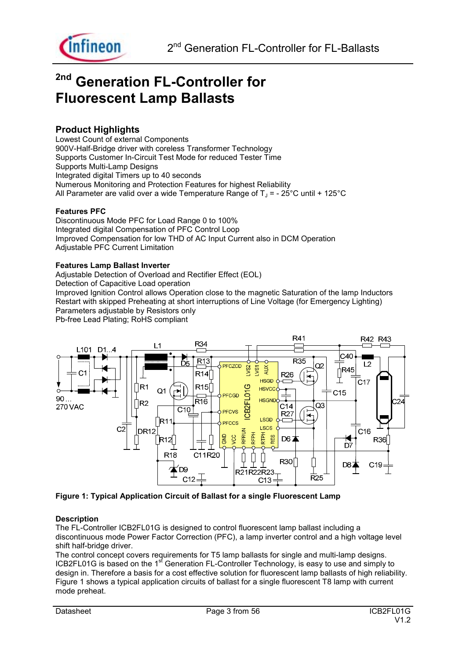

## **2nd Generation FL-Controller for Fluorescent Lamp Ballasts**

### **Product Highlights**

Lowest Count of external Components 900V-Half-Bridge driver with coreless Transformer Technology Supports Customer In-Circuit Test Mode for reduced Tester Time Supports Multi-Lamp Designs Integrated digital Timers up to 40 seconds Numerous Monitoring and Protection Features for highest Reliability All Parameter are valid over a wide Temperature Range of  $T_{\text{J}}$  = - 25°C until + 125°C

#### **Features PFC**

Discontinuous Mode PFC for Load Range 0 to 100% Integrated digital Compensation of PFC Control Loop Improved Compensation for low THD of AC Input Current also in DCM Operation Adjustable PFC Current Limitation

#### **Features Lamp Ballast Inverter**

Adjustable Detection of Overload and Rectifier Effect (EOL) Detection of Capacitive Load operation Improved Ignition Control allows Operation close to the magnetic Saturation of the lamp Inductors Restart with skipped Preheating at short interruptions of Line Voltage (for Emergency Lighting) Parameters adjustable by Resistors only Pb-free Lead Plating; RoHS compliant



**Figure 1: Typical Application Circuit of Ballast for a single Fluorescent Lamp** 

#### **Description**

The FL-Controller ICB2FL01G is designed to control fluorescent lamp ballast including a discontinuous mode Power Factor Correction (PFC), a lamp inverter control and a high voltage level shift half-bridge driver.

The control concept covers requirements for T5 lamp ballasts for single and multi-lamp designs. ICB2FL01G is based on the 1<sup>st</sup> Generation FL-Controller Technology, is easy to use and simply to design in. Therefore a basis for a cost effective solution for fluorescent lamp ballasts of high reliability. Figure 1 shows a typical application circuits of ballast for a single fluorescent T8 lamp with current mode preheat.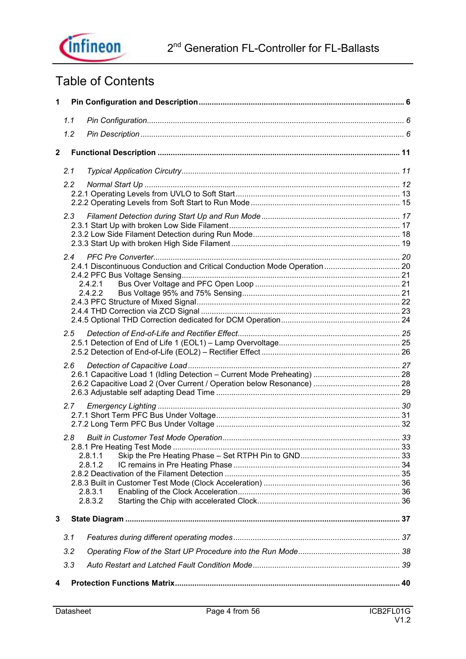## 2<sup>nd</sup> Generation FL-Controller for FL-Ballasts



## Table of Contents

| $\mathbf{1}$            |               |                                          |  |
|-------------------------|---------------|------------------------------------------|--|
|                         | 1.1           |                                          |  |
|                         | 1.2           |                                          |  |
| $\overline{\mathbf{2}}$ |               |                                          |  |
|                         | 2.1           |                                          |  |
|                         | $2.2^{\circ}$ |                                          |  |
|                         | 2.3           |                                          |  |
|                         | 2.4           | 2.4.2.1<br>2.4.2.2                       |  |
|                         | 2.5           |                                          |  |
|                         | 2.6           |                                          |  |
|                         | 2.7           |                                          |  |
|                         | 2.8           | 2.8.1.1<br>2.8.1.2<br>2.8.3.1<br>2.8.3.2 |  |
| 3                       |               |                                          |  |
|                         | 3.1           |                                          |  |
|                         | 3.2           |                                          |  |
|                         | 3.3           |                                          |  |
| 4                       |               |                                          |  |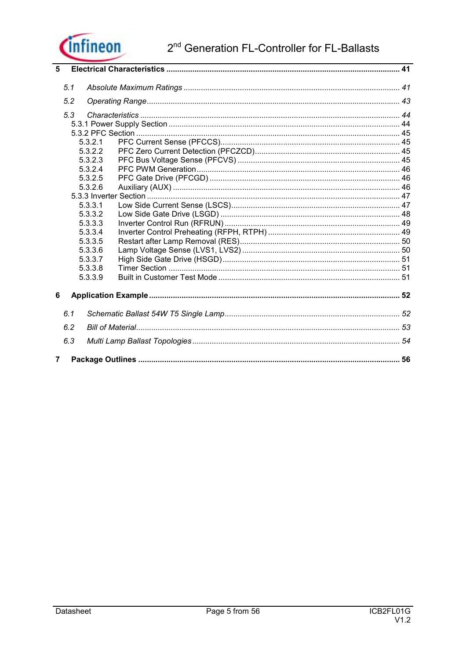

| 5              |     |         |  |
|----------------|-----|---------|--|
|                | 5.1 |         |  |
|                | 5.2 |         |  |
|                |     |         |  |
|                | 5.3 |         |  |
|                |     |         |  |
|                |     |         |  |
|                |     | 5.3.2.1 |  |
|                |     | 5.3.2.2 |  |
|                |     | 5.3.2.3 |  |
|                |     | 5.3.2.4 |  |
|                |     | 5.3.2.5 |  |
|                |     | 5.3.2.6 |  |
|                |     |         |  |
|                |     | 5.3.3.1 |  |
|                |     | 5.3.3.2 |  |
|                |     | 5.3.3.3 |  |
|                |     | 5.3.3.4 |  |
|                |     | 5.3.3.5 |  |
|                |     | 5.3.3.6 |  |
|                |     | 5.3.3.7 |  |
|                |     | 5.3.3.8 |  |
|                |     | 5.3.3.9 |  |
| 6              |     |         |  |
|                | 6.1 |         |  |
|                | 6.2 |         |  |
|                |     |         |  |
|                | 6.3 |         |  |
| $\overline{7}$ |     |         |  |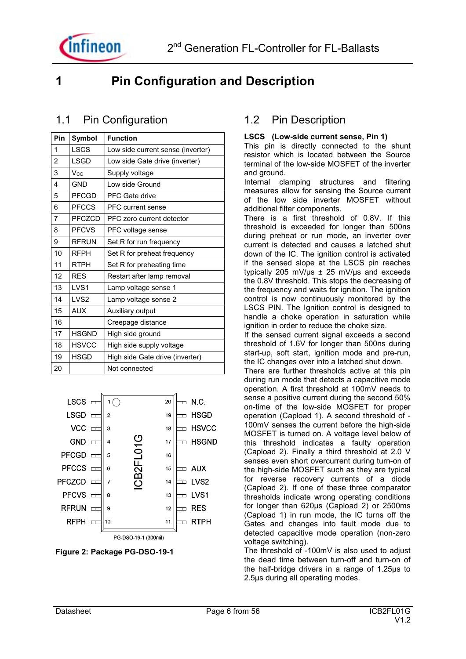

### **1 Pin Configuration and Description**

### 1.1 Pin Configuration

| Pin            | Symbol           | <b>Function</b>                   |
|----------------|------------------|-----------------------------------|
| 1              | <b>LSCS</b>      | Low side current sense (inverter) |
| $\overline{2}$ | <b>LSGD</b>      | Low side Gate drive (inverter)    |
| 3              | $V_{CC}$         | Supply voltage                    |
| 4              | <b>GND</b>       | Low side Ground                   |
| 5              | <b>PFCGD</b>     | PFC Gate drive                    |
| 6              | <b>PFCCS</b>     | <b>PFC</b> current sense          |
| 7              | PFCZCD           | PFC zero current detector         |
| 8              | <b>PFCVS</b>     | PFC voltage sense                 |
| 9              | <b>RFRUN</b>     | Set R for run frequency           |
| 10             | <b>RFPH</b>      | Set R for preheat frequency       |
| 11             | <b>RTPH</b>      | Set R for preheating time         |
| 12             | <b>RES</b>       | Restart after lamp removal        |
| 13             | LVS <sub>1</sub> | Lamp voltage sense 1              |
| 14             | LVS <sub>2</sub> | Lamp voltage sense 2              |
| 15             | <b>AUX</b>       | Auxiliary output                  |
| 16             |                  | Creepage distance                 |
| 17             | <b>HSGND</b>     | High side ground                  |
| 18             | <b>HSVCC</b>     | High side supply voltage          |
| 19             | <b>HSGD</b>      | High side Gate drive (inverter)   |
| 20             |                  | Not connected                     |



**Figure 2: Package PG-DSO-19-1** 

### 1.2 Pin Description

#### **LSCS (Low-side current sense, Pin 1)**

This pin is directly connected to the shunt resistor which is located between the Source terminal of the low-side MOSFET of the inverter and ground.

Internal clamping structures and filtering measures allow for sensing the Source current of the low side inverter MOSFET without additional filter components.

There is a first threshold of 0.8V. If this threshold is exceeded for longer than 500ns during preheat or run mode, an inverter over current is detected and causes a latched shut down of the IC. The ignition control is activated if the sensed slope at the LSCS pin reaches typically 205 mV/ $\mu$ s  $\pm$  25 mV/ $\mu$ s and exceeds the 0.8V threshold. This stops the decreasing of the frequency and waits for ignition. The ignition control is now continuously monitored by the LSCS PIN. The Ignition control is designed to handle a choke operation in saturation while ignition in order to reduce the choke size.

If the sensed current signal exceeds a second threshold of 1.6V for longer than 500ns during start-up, soft start, ignition mode and pre-run, the IC changes over into a latched shut down.

There are further thresholds active at this pin during run mode that detects a capacitive mode operation. A first threshold at 100mV needs to sense a positive current during the second 50% on-time of the low-side MOSFET for proper operation (Capload 1). A second threshold of - 100mV senses the current before the high-side MOSFET is turned on. A voltage level below of this threshold indicates a faulty operation (Capload 2). Finally a third threshold at 2.0 V senses even short overcurrent during turn-on of the high-side MOSFET such as they are typical for reverse recovery currents of a diode (Capload 2). If one of these three comparator thresholds indicate wrong operating conditions for longer than 620µs (Capload 2) or 2500ms (Capload 1) in run mode, the IC turns off the Gates and changes into fault mode due to detected capacitive mode operation (non-zero voltage switching).

The threshold of -100mV is also used to adjust the dead time between turn-off and turn-on of the half-bridge drivers in a range of 1.25µs to 2.5µs during all operating modes.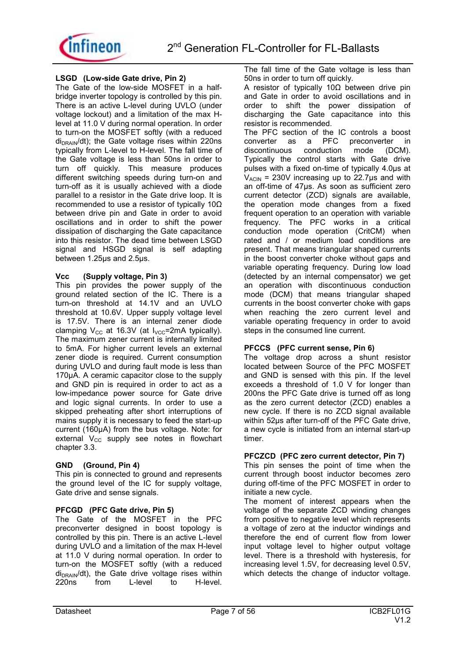

#### **LSGD (Low-side Gate drive, Pin 2)**

The Gate of the low-side MOSFET in a halfbridge inverter topology is controlled by this pin. There is an active L-level during UVLO (under voltage lockout) and a limitation of the max Hlevel at 11.0 V during normal operation. In order to turn-on the MOSFET softly (with a reduced  $di<sub>DRAIN</sub>/dt$ ); the Gate voltage rises within 220ns typically from L-level to H-level. The fall time of the Gate voltage is less than 50ns in order to turn off quickly. This measure produces different switching speeds during turn-on and turn-off as it is usually achieved with a diode parallel to a resistor in the Gate drive loop. It is recommended to use a resistor of typically 10Ω between drive pin and Gate in order to avoid oscillations and in order to shift the power dissipation of discharging the Gate capacitance into this resistor. The dead time between LSGD signal and HSGD signal is self adapting between 1.25µs and 2.5µs.

#### **Vcc (Supply voltage, Pin 3)**

This pin provides the power supply of the ground related section of the IC. There is a turn-on threshold at 14.1V and an UVLO threshold at 10.6V. Upper supply voltage level is 17.5V. There is an internal zener diode clamping  $V_{CC}$  at 16.3V (at  $I_{VCC}$ =2mA typically). The maximum zener current is internally limited to 5mA. For higher current levels an external zener diode is required. Current consumption during UVLO and during fault mode is less than 170µA. A ceramic capacitor close to the supply and GND pin is required in order to act as a low-impedance power source for Gate drive and logic signal currents. In order to use a skipped preheating after short interruptions of mains supply it is necessary to feed the start-up current (160µA) from the bus voltage. Note: for external  $V_{CC}$  supply see notes in flowchart chapter 3.3.

#### **GND (Ground, Pin 4)**

This pin is connected to ground and represents the ground level of the IC for supply voltage, Gate drive and sense signals.

#### **PFCGD (PFC Gate drive, Pin 5)**

The Gate of the MOSFET in the PFC preconverter designed in boost topology is controlled by this pin. There is an active L-level during UVLO and a limitation of the max H-level at 11.0 V during normal operation. In order to turn-on the MOSFET softly (with a reduced  $di_{DRAIN}/dt$ ), the Gate drive voltage rises within <br>220ns from L-level to H-level. H-level. The fall time of the Gate voltage is less than 50ns in order to turn off quickly.

A resistor of typically 10Ω between drive pin and Gate in order to avoid oscillations and in order to shift the power dissipation of discharging the Gate capacitance into this resistor is recommended.

The PFC section of the IC controls a boost converter as a PFC preconverter in<br>discontinuous conduction mode (DCM). discontinuous Typically the control starts with Gate drive pulses with a fixed on-time of typically 4.0µs at  $V_{ACIN}$  = 230V increasing up to 22.7 us and with an off-time of 47µs. As soon as sufficient zero current detector (ZCD) signals are available, the operation mode changes from a fixed frequent operation to an operation with variable frequency. The PFC works in a critical conduction mode operation (CritCM) when rated and / or medium load conditions are present. That means triangular shaped currents in the boost converter choke without gaps and variable operating frequency. During low load (detected by an internal compensator) we get an operation with discontinuous conduction mode (DCM) that means triangular shaped currents in the boost converter choke with gaps when reaching the zero current level and variable operating frequency in order to avoid steps in the consumed line current.

#### **PFCCS (PFC current sense, Pin 6)**

The voltage drop across a shunt resistor located between Source of the PFC MOSFET and GND is sensed with this pin. If the level exceeds a threshold of 1.0 V for longer than 200ns the PFC Gate drive is turned off as long as the zero current detector (ZCD) enables a new cycle. If there is no ZCD signal available within 52µs after turn-off of the PFC Gate drive, a new cycle is initiated from an internal start-up timer.

#### **PFCZCD (PFC zero current detector, Pin 7)**

This pin senses the point of time when the current through boost inductor becomes zero during off-time of the PFC MOSFET in order to initiate a new cycle.

The moment of interest appears when the voltage of the separate ZCD winding changes from positive to negative level which represents a voltage of zero at the inductor windings and therefore the end of current flow from lower input voltage level to higher output voltage level. There is a threshold with hysteresis, for increasing level 1.5V, for decreasing level 0.5V, which detects the change of inductor voltage.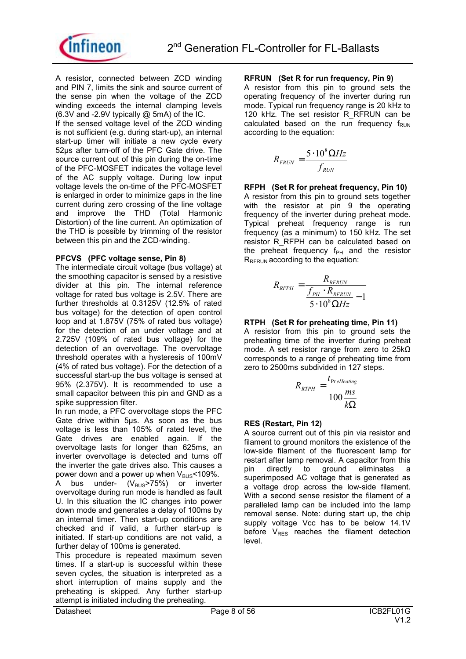



A resistor, connected between ZCD winding and PIN 7, limits the sink and source current of the sense pin when the voltage of the ZCD winding exceeds the internal clamping levels (6.3V and -2.9V typically @ 5mA) of the IC.

If the sensed voltage level of the ZCD winding is not sufficient (e.g. during start-up), an internal start-up timer will initiate a new cycle every 52µs after turn-off of the PFC Gate drive. The source current out of this pin during the on-time of the PFC-MOSFET indicates the voltage level of the AC supply voltage. During low input voltage levels the on-time of the PFC-MOSFET is enlarged in order to minimize gaps in the line current during zero crossing of the line voltage and improve the THD (Total Harmonic Distortion) of the line current. An optimization of the THD is possible by trimming of the resistor between this pin and the ZCD-winding.

#### **PFCVS (PFC voltage sense, Pin 8)**

The intermediate circuit voltage (bus voltage) at the smoothing capacitor is sensed by a resistive divider at this pin. The internal reference voltage for rated bus voltage is 2.5V. There are further thresholds at 0.3125V (12.5% of rated bus voltage) for the detection of open control loop and at 1.875V (75% of rated bus voltage) for the detection of an under voltage and at 2.725V (109% of rated bus voltage) for the detection of an overvoltage. The overvoltage threshold operates with a hysteresis of 100mV (4% of rated bus voltage). For the detection of a successful start-up the bus voltage is sensed at 95% (2.375V). It is recommended to use a small capacitor between this pin and GND as a spike suppression filter.

In run mode, a PFC overvoltage stops the PFC Gate drive within 5µs. As soon as the bus voltage is less than 105% of rated level, the Gate drives are enabled again. If the overvoltage lasts for longer than 625ms, an inverter overvoltage is detected and turns off the inverter the gate drives also. This causes a power down and a power up when  $V_{\text{BUS}}$  < 109%. A bus under-  $(V_{\text{BUS}} > 75\%)$  or inverter overvoltage during run mode is handled as fault

U. In this situation the IC changes into power down mode and generates a delay of 100ms by an internal timer. Then start-up conditions are checked and if valid, a further start-up is initiated. If start-up conditions are not valid, a further delay of 100ms is generated.

This procedure is repeated maximum seven times. If a start-up is successful within these seven cycles, the situation is interpreted as a short interruption of mains supply and the preheating is skipped. Any further start-up attempt is initiated including the preheating.

#### **RFRUN (Set R for run frequency, Pin 9)**

A resistor from this pin to ground sets the operating frequency of the inverter during run mode. Typical run frequency range is 20 kHz to 120 kHz. The set resistor R\_RFRUN can be calculated based on the run frequency  $f_{\text{RUN}}$ according to the equation:

$$
R_{FRUN} = \frac{5 \cdot 10^8 \Omega Hz}{f_{RUN}}
$$

**RFPH (Set R for preheat frequency, Pin 10)**  A resistor from this pin to ground sets together with the resistor at pin 9 the operating frequency of the inverter during preheat mode. Typical preheat frequency range is run frequency (as a minimum) to 150 kHz. The set resistor R\_RFPH can be calculated based on the preheat frequency  $f_{PH}$  and the resistor  $R_{RFRUN}$  according to the equation:

$$
R_{RFPH} = \frac{R_{RFRUN}}{f_{PH} \cdot R_{RFRUN}} - 1
$$

$$
5 \cdot 10^8 \Omega Hz
$$

#### **RTPH (Set R for preheating time, Pin 11)**

A resistor from this pin to ground sets the preheating time of the inverter during preheat mode. A set resistor range from zero to 25kΩ corresponds to a range of preheating time from zero to 2500ms subdivided in 127 steps.

$$
R_{\text{RTPH}} = \frac{t_{\text{Pr} \text{eHeating}}}{100 \frac{m\text{s}}{k\Omega}}
$$

#### **RES (Restart, Pin 12)**

A source current out of this pin via resistor and filament to ground monitors the existence of the low-side filament of the fluorescent lamp for restart after lamp removal. A capacitor from this pin directly to ground eliminates a superimposed AC voltage that is generated as a voltage drop across the low-side filament. With a second sense resistor the filament of a paralleled lamp can be included into the lamp removal sense. Note: during start up, the chip supply voltage Vcc has to be below 14.1V before  $V_{RES}$  reaches the filament detection level.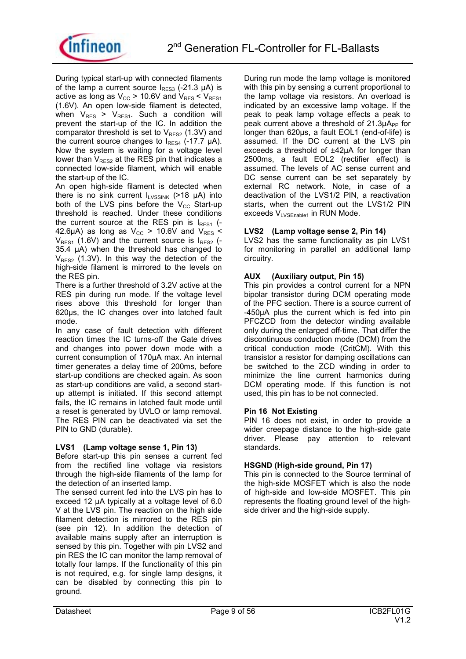

During typical start-up with connected filaments of the lamp a current source  $I_{RES3}$  (-21.3 µA) is active as long as  $V_{CC}$  > 10.6V and  $V_{RES}$  <  $V_{RES1}$ (1.6V). An open low-side filament is detected, when  $V_{RES}$  >  $V_{RES1}$ . Such a condition will prevent the start-up of the IC. In addition the comparator threshold is set to  $V_{RES2}$  (1.3V) and the current source changes to  $I_{RESA}$  (-17.7  $\mu$ A). Now the system is waiting for a voltage level lower than  $V_{RFS2}$  at the RES pin that indicates a connected low-side filament, which will enable the start-up of the IC.

An open high-side filament is detected when there is no sink current  $I<sub>LVSSINK</sub>$  (>18 µA) into both of the LVS pins before the  $V_{CC}$  Start-up threshold is reached. Under these conditions the current source at the RES pin is  $I_{RES1}$  (-42.6 $\mu$ A) as long as  $V_{CC}$  > 10.6V and  $V_{RES}$  <  $V_{RFS1}$  (1.6V) and the current source is  $I_{RFS2}$  (-35.4 µA) when the threshold has changed to  $V_{RES2}$  (1.3V). In this way the detection of the high-side filament is mirrored to the levels on the RES pin.

There is a further threshold of 3.2V active at the RES pin during run mode. If the voltage level rises above this threshold for longer than 620µs, the IC changes over into latched fault mode.

In any case of fault detection with different reaction times the IC turns-off the Gate drives and changes into power down mode with a current consumption of 170µA max. An internal timer generates a delay time of 200ms, before start-up conditions are checked again. As soon as start-up conditions are valid, a second startup attempt is initiated. If this second attempt fails, the IC remains in latched fault mode until a reset is generated by UVLO or lamp removal. The RES PIN can be deactivated via set the PIN to GND (durable).

#### **LVS1 (Lamp voltage sense 1, Pin 13)**

Before start-up this pin senses a current fed from the rectified line voltage via resistors through the high-side filaments of the lamp for the detection of an inserted lamp.

The sensed current fed into the LVS pin has to exceed 12 µA typically at a voltage level of 6.0 V at the LVS pin. The reaction on the high side filament detection is mirrored to the RES pin (see pin 12). In addition the detection of available mains supply after an interruption is sensed by this pin. Together with pin LVS2 and pin RES the IC can monitor the lamp removal of totally four lamps. If the functionality of this pin is not required, e.g. for single lamp designs, it can be disabled by connecting this pin to ground.

During run mode the lamp voltage is monitored with this pin by sensing a current proportional to the lamp voltage via resistors. An overload is indicated by an excessive lamp voltage. If the peak to peak lamp voltage effects a peak to peak current above a threshold of  $21.3\mu A_{PP}$  for longer than 620µs, a fault EOL1 (end-of-life) is assumed. If the DC current at the LVS pin exceeds a threshold of ±42µA for longer than 2500ms, a fault EOL2 (rectifier effect) is assumed. The levels of AC sense current and DC sense current can be set separately by external RC network. Note, in case of a deactivation of the LVS1/2 PIN, a reactivation starts, when the current out the LVS1/2 PIN exceeds  $V_{\text{I VSEnable1}}$  in RUN Mode.

#### **LVS2 (Lamp voltage sense 2, Pin 14)**

LVS2 has the same functionality as pin LVS1 for monitoring in parallel an additional lamp circuitry.

#### **AUX (Auxiliary output, Pin 15)**

This pin provides a control current for a NPN bipolar transistor during DCM operating mode of the PFC section. There is a source current of -450µA plus the current which is fed into pin PFCZCD from the detector winding available only during the enlarged off-time. That differ the discontinuous conduction mode (DCM) from the critical conduction mode (CritCM). With this transistor a resistor for damping oscillations can be switched to the ZCD winding in order to minimize the line current harmonics during DCM operating mode. If this function is not used, this pin has to be not connected.

#### **Pin 16 Not Existing**

PIN 16 does not exist, in order to provide a wider creepage distance to the high-side gate driver. Please pay attention to relevant standards.

#### **HSGND (High-side ground, Pin 17)**

This pin is connected to the Source terminal of the high-side MOSFET which is also the node of high-side and low-side MOSFET. This pin represents the floating ground level of the highside driver and the high-side supply.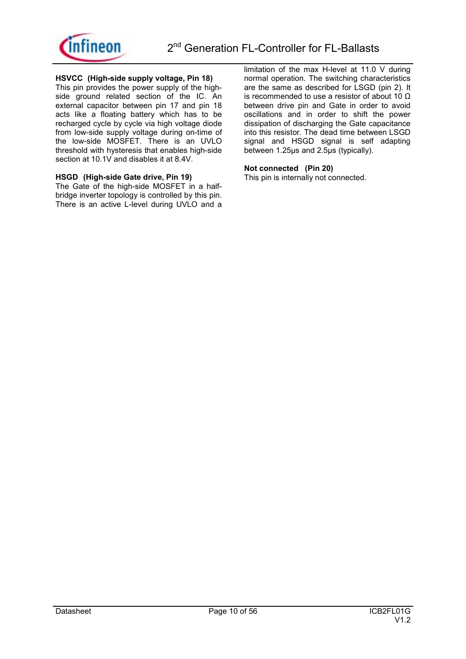

#### **HSVCC (High-side supply voltage, Pin 18)**

This pin provides the power supply of the highside ground related section of the IC. An external capacitor between pin 17 and pin 18 acts like a floating battery which has to be recharged cycle by cycle via high voltage diode from low-side supply voltage during on-time of the low-side MOSFET. There is an UVLO threshold with hysteresis that enables high-side section at 10.1V and disables it at 8.4V.

#### **HSGD (High-side Gate drive, Pin 19)**

The Gate of the high-side MOSFET in a halfbridge inverter topology is controlled by this pin. There is an active L-level during UVLO and a limitation of the max H-level at 11.0 V during normal operation. The switching characteristics are the same as described for LSGD (pin 2). It is recommended to use a resistor of about 10 Ω between drive pin and Gate in order to avoid oscillations and in order to shift the power dissipation of discharging the Gate capacitance into this resistor. The dead time between LSGD signal and HSGD signal is self adapting between 1.25µs and 2.5µs (typically).

#### **Not connected (Pin 20)**

This pin is internally not connected.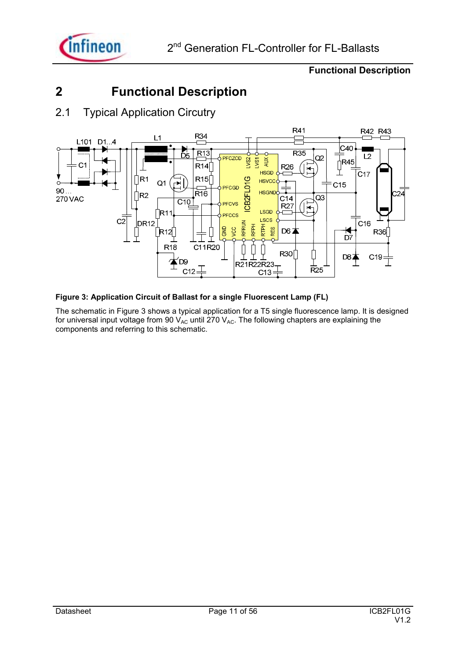

### **2 Functional Description**

### 2.1 Typical Application Circutry



#### **Figure 3: Application Circuit of Ballast for a single Fluorescent Lamp (FL)**

The schematic in Figure 3 shows a typical application for a T5 single fluorescence lamp. It is designed for universal input voltage from 90  $V_{AC}$  until 270  $V_{AC}$ . The following chapters are explaining the components and referring to this schematic.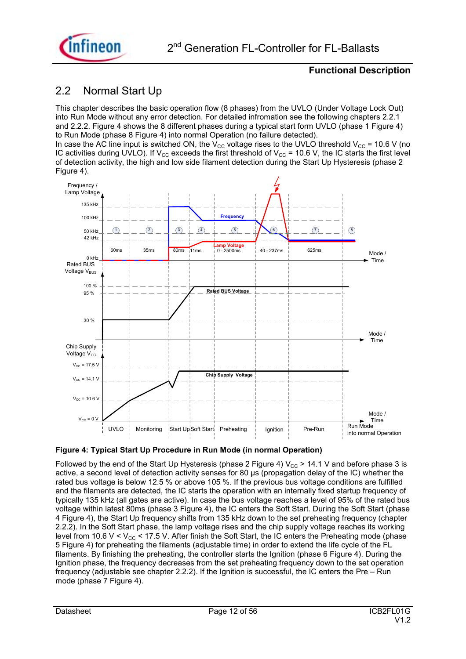

### 2.2 Normal Start Up

This chapter describes the basic operation flow (8 phases) from the UVLO (Under Voltage Lock Out) into Run Mode without any error detection. For detailed infromation see the following chapters 2.2.1 and 2.2.2. Figure 4 shows the 8 different phases during a typical start form UVLO (phase 1 Figure 4) to Run Mode (phase 8 Figure 4) into normal Operation (no failure detected). In case the AC line input is switched ON, the V<sub>CC</sub> voltage rises to the UVLO threshold V<sub>CC</sub> = 10.6 V (no IC activities during UVLO). If V<sub>CC</sub> exceeds the first threshold of V<sub>CC</sub> = 10.6 V, the IC starts the first level of detection activity, the high and low side filament detection during the Start Up Hysteresis (phase 2 Figure 4).



#### **Figure 4: Typical Start Up Procedure in Run Mode (in normal Operation)**

Followed by the end of the Start Up Hysteresis (phase 2 Figure 4)  $V_{CC}$  > 14.1 V and before phase 3 is active, a second level of detection activity senses for 80 µs (propagation delay of the IC) whether the rated bus voltage is below 12.5 % or above 105 %. If the previous bus voltage conditions are fulfilled and the filaments are detected, the IC starts the operation with an internally fixed startup frequency of typically 135 kHz (all gates are active). In case the bus voltage reaches a level of 95% of the rated bus voltage within latest 80ms (phase 3 Figure 4), the IC enters the Soft Start. During the Soft Start (phase 4 Figure 4), the Start Up frequency shifts from 135 kHz down to the set preheating frequency (chapter 2.2.2). In the Soft Start phase, the lamp voltage rises and the chip supply voltage reaches its working level from 10.6 V < V<sub>CC</sub> < 17.5 V. After finish the Soft Start, the IC enters the Preheating mode (phase 5 Figure 4) for preheating the filaments (adjustable time) in order to extend the life cycle of the FL filaments. By finishing the preheating, the controller starts the Ignition (phase 6 Figure 4). During the Ignition phase, the frequency decreases from the set preheating frequency down to the set operation frequency (adjustable see chapter 2.2.2). If the Ignition is successful, the IC enters the Pre  $-$  Run mode (phase 7 Figure 4).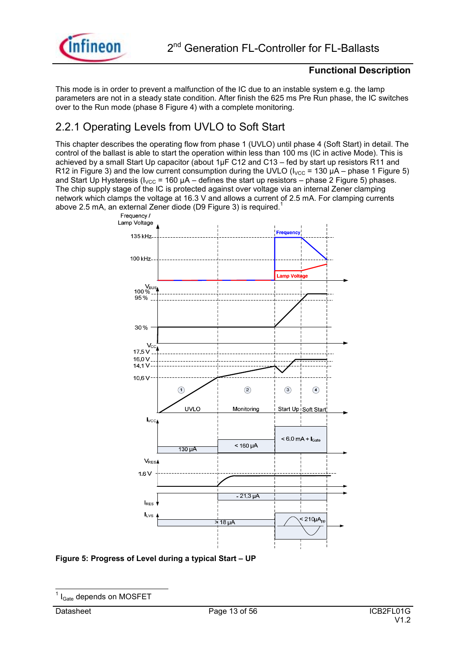

This mode is in order to prevent a malfunction of the IC due to an instable system e.g. the lamp parameters are not in a steady state condition. After finish the 625 ms Pre Run phase, the IC switches over to the Run mode (phase 8 Figure 4) with a complete monitoring.

### 2.2.1 Operating Levels from UVLO to Soft Start

This chapter describes the operating flow from phase 1 (UVLO) until phase 4 (Soft Start) in detail. The control of the ballast is able to start the operation within less than 100 ms (IC in active Mode). This is achieved by a small Start Up capacitor (about 1µF C12 and C13 – fed by start up resistors R11 and R12 in Figure 3) and the low current consumption during the UVLO ( $I_{\text{VCC}}$  = 130 µA – phase 1 Figure 5) and Start Up Hysteresis (I<sub>VCC</sub> = 160  $\mu$ A – defines the start up resistors – phase 2 Figure 5) phases. The chip supply stage of the IC is protected against over voltage via an internal Zener clamping network which clamps the voltage at 16.3 V and allows a current of 2.5 mA. For clamping currents above 2.5 mA, an external Zener diode (D9 Figure 3) is required.<sup>1</sup>



#### Figure 5: Progress of Level during a typical Start - UP

 $\overline{\phantom{a}}$ 1 IGate depends on MOSFET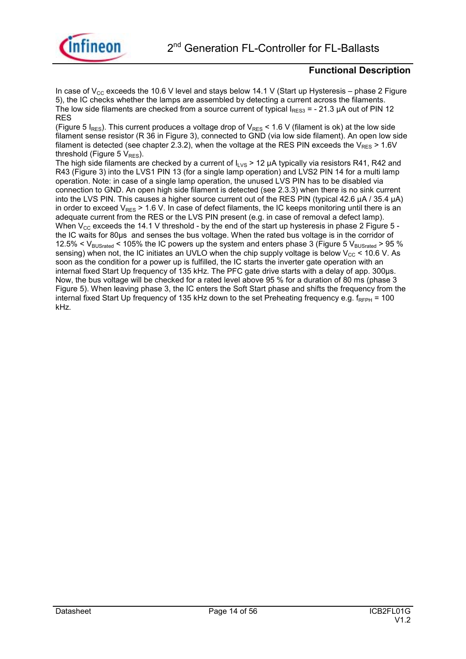

In case of  $V_{CC}$  exceeds the 10.6 V level and stays below 14.1 V (Start up Hysteresis – phase 2 Figure 5), the IC checks whether the lamps are assembled by detecting a current across the filaments. The low side filaments are checked from a source current of typical  $I_{BES3} = -21.3$  µA out of PIN 12 RES

(Figure 5  $I_{RES}$ ). This current produces a voltage drop of  $V_{RES}$  < 1.6 V (filament is ok) at the low side filament sense resistor (R 36 in Figure 3), connected to GND (via low side filament). An open low side filament is detected (see chapter 2.3.2), when the voltage at the RES PIN exceeds the  $V_{RFS}$  > 1.6V threshold (Figure 5  $V_{RES}$ ).

The high side filaments are checked by a current of  $I_{LVS}$  > 12 µA typically via resistors R41, R42 and R43 (Figure 3) into the LVS1 PIN 13 (for a single lamp operation) and LVS2 PIN 14 for a multi lamp operation. Note: in case of a single lamp operation, the unused LVS PIN has to be disabled via connection to GND. An open high side filament is detected (see 2.3.3) when there is no sink current into the LVS PIN. This causes a higher source current out of the RES PIN (typical 42.6 µA / 35.4 µA) in order to exceed  $V_{RES} > 1.6$  V. In case of defect filaments, the IC keeps monitoring until there is an adequate current from the RES or the LVS PIN present (e.g. in case of removal a defect lamp). When  $V_{CC}$  exceeds the 14.1 V threshold - by the end of the start up hysteresis in phase 2 Figure 5 the IC waits for 80µs and senses the bus voltage. When the rated bus voltage is in the corridor of 12.5% <  $V_{BUSrated}$  < 105% the IC powers up the system and enters phase 3 (Figure 5  $V_{BUSrated}$  > 95 % sensing) when not, the IC initiates an UVLO when the chip supply voltage is below  $V_{CC}$  < 10.6 V. As soon as the condition for a power up is fulfilled, the IC starts the inverter gate operation with an internal fixed Start Up frequency of 135 kHz. The PFC gate drive starts with a delay of app. 300µs. Now, the bus voltage will be checked for a rated level above 95 % for a duration of 80 ms (phase 3 Figure 5). When leaving phase 3, the IC enters the Soft Start phase and shifts the frequency from the internal fixed Start Up frequency of 135 kHz down to the set Preheating frequency e.g.  $f_{RFPH} = 100$ kHz.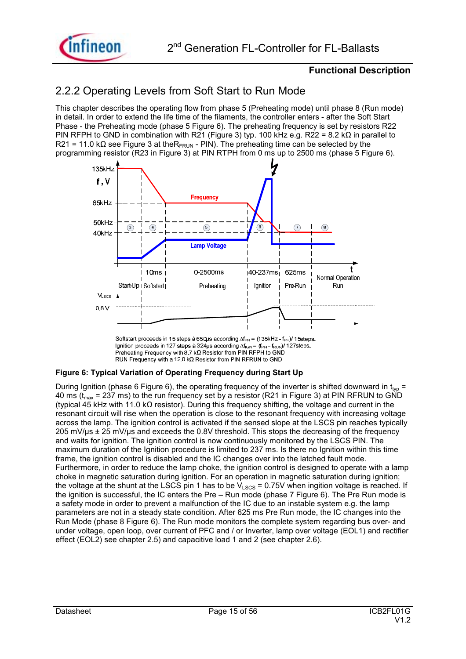

### 2.2.2 Operating Levels from Soft Start to Run Mode

This chapter describes the operating flow from phase 5 (Preheating mode) until phase 8 (Run mode) in detail. In order to extend the life time of the filaments, the controller enters - after the Soft Start Phase - the Preheating mode (phase 5 Figure 6). The preheating frequency is set by resistors R22 PIN RFPH to GND in combination with R21 (Figure 3) typ. 100 kHz e.g. R22 = 8.2 kQ in parallel to R21 = 11.0 kΩ see Figure 3 at the R<sub>FRUN</sub> - PIN). The preheating time can be selected by the programming resistor (R23 in Figure 3) at PIN RTPH from 0 ms up to 2500 ms (phase 5 Figure 6).



Softstart proceeds in 15 steps à 650µs according  $\Delta f_{PH}$  = (135kHz - f<sub>PH</sub>)/ 15steps. Ignition proceeds in 127 steps à 324µs according  $\Delta f_{\text{IGN}} = (f_{\text{PH}} - f_{\text{RUN}})/$  127 steps. Preheating Frequency with  $8.7 \text{ k}\Omega$  Resistor from PIN RFPH to GND RUN Frequency with a 12.0 k $\Omega$  Resistor from PIN RFRUN to GND

#### **Figure 6: Typical Variation of Operating Frequency during Start Up**

During Ignition (phase 6 Figure 6), the operating frequency of the inverter is shifted downward in  $t_{\text{two}}$  = 40 ms ( $t_{\text{max}}$  = 237 ms) to the run frequency set by a resistor (R21 in Figure 3) at PIN RFRUN to GND (typical 45 kHz with 11.0 kΩ resistor). During this frequency shifting, the voltage and current in the resonant circuit will rise when the operation is close to the resonant frequency with increasing voltage across the lamp. The ignition control is activated if the sensed slope at the LSCS pin reaches typically 205 mV/us ± 25 mV/us and exceeds the 0.8V threshold. This stops the decreasing of the frequency and waits for ignition. The ignition control is now continuously monitored by the LSCS PIN. The maximum duration of the Ignition procedure is limited to 237 ms. Is there no Ignition within this time frame, the ignition control is disabled and the IC changes over into the latched fault mode. Furthermore, in order to reduce the lamp choke, the ignition control is designed to operate with a lamp choke in magnetic saturation during ignition. For an operation in magnetic saturation during ignition; the voltage at the shunt at the LSCS pin 1 has to be  $V_{LSCS}$  = 0.75V when ingition voltage is reached. If the ignition is successful, the IC enters the Pre  $-$  Run mode (phase 7 Figure 6). The Pre Run mode is a safety mode in order to prevent a malfunction of the IC due to an instable system e.g. the lamp parameters are not in a steady state condition. After 625 ms Pre Run mode, the IC changes into the Run Mode (phase 8 Figure 6). The Run mode monitors the complete system regarding bus over- and under voltage, open loop, over current of PFC and / or Inverter, lamp over voltage (EOL1) and rectifier effect (EOL2) see chapter 2.5) and capacitive load 1 and 2 (see chapter 2.6).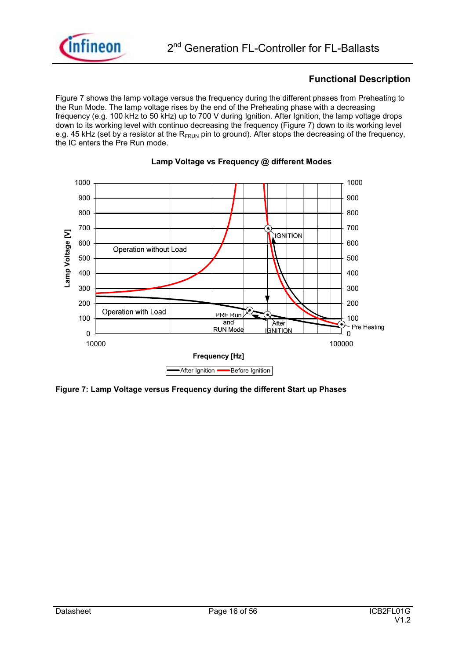

Figure 7 shows the lamp voltage versus the frequency during the different phases from Preheating to the Run Mode. The lamp voltage rises by the end of the Preheating phase with a decreasing frequency (e.g. 100 kHz to 50 kHz) up to 700 V during Ignition. After Ignition, the lamp voltage drops down to its working level with continuo decreasing the frequency (Figure 7) down to its working level e.g. 45 kHz (set by a resistor at the  $R_{FRIIN}$  pin to ground). After stops the decreasing of the frequency, the IC enters the Pre Run mode.



#### **Lamp Voltage vs Frequency @ different Modes**

**Figure 7: Lamp Voltage versus Frequency during the different Start up Phases**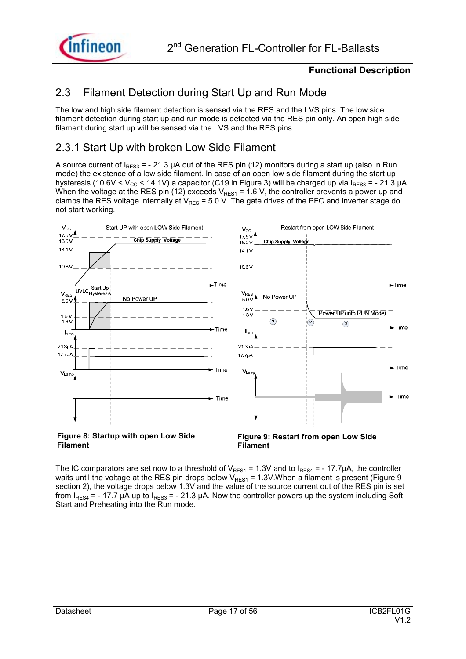

### 2.3 Filament Detection during Start Up and Run Mode

The low and high side filament detection is sensed via the RES and the LVS pins. The low side filament detection during start up and run mode is detected via the RES pin only. An open high side filament during start up will be sensed via the LVS and the RES pins.

### 2.3.1 Start Up with broken Low Side Filament

A source current of  $I_{RES3} = -21.3 \mu A$  out of the RES pin (12) monitors during a start up (also in Run mode) the existence of a low side filament. In case of an open low side filament during the start up hysteresis (10.6V < V<sub>CC</sub> < 14.1V) a capacitor (C19 in Figure 3) will be charged up via  $I_{RES3}$  = - 21.3 µA. When the voltage at the RES pin (12) exceeds  $V_{RES1} = 1.6 V$ , the controller prevents a power up and clamps the RES voltage internally at  $V_{RES}$  = 5.0 V. The gate drives of the PFC and inverter stage do not start working.



The IC comparators are set now to a threshold of  $V_{RES1} = 1.3V$  and to  $I_{RES4} = -17.7\mu A$ , the controller waits until the voltage at the RES pin drops below  $V_{RES1}$  = 1.3V. When a filament is present (Figure 9 section 2), the voltage drops below 1.3V and the value of the source current out of the RES pin is set from  $I_{RES4}$  = - 17.7 µA up to  $I_{RES3}$  = - 21.3 µA. Now the controller powers up the system including Soft Start and Preheating into the Run mode.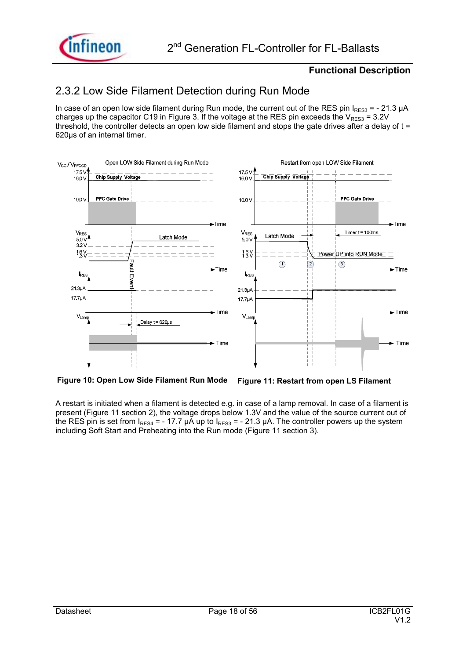

### 2.3.2 Low Side Filament Detection during Run Mode

In case of an open low side filament during Run mode, the current out of the RES pin  $I_{RFS3}$  = - 21.3 µA charges up the capacitor C19 in Figure 3. If the voltage at the RES pin exceeds the  $V_{RFS3} = 3.2V$ threshold, the controller detects an open low side filament and stops the gate drives after a delay of  $t =$ 620µs of an internal timer.



**Figure 10: Open Low Side Filament Run Mode Figure 11: Restart from open LS Filament** 

A restart is initiated when a filament is detected e.g. in case of a lamp removal. In case of a filament is present (Figure 11 section 2), the voltage drops below 1.3V and the value of the source current out of the RES pin is set from  $I_{RES4}$  = - 17.7  $\mu \tilde{A}$  up to  $I_{RES3}$  = - 21.3  $\mu A$ . The controller powers up the system including Soft Start and Preheating into the Run mode (Figure 11 section 3).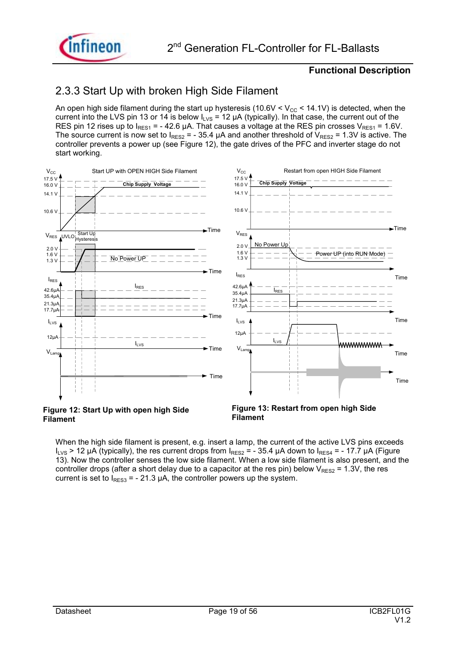

### 2.3.3 Start Up with broken High Side Filament

An open high side filament during the start up hysteresis ( $10.6V < V_{CC} < 14.1V$ ) is detected, when the current into the LVS pin 13 or 14 is below  $I_{LVS} = 12 \mu A$  (typically). In that case, the current out of the RES pin 12 rises up to  $I_{RES1}$  = - 42.6 µA. That causes a voltage at the RES pin crosses  $V_{RES1}$  = 1.6V. The source current is now set to  $I_{RES2}$  = - 35.4 µA and another threshold of  $V_{RES2}$  = 1.3V is active. The controller prevents a power up (see Figure 12), the gate drives of the PFC and inverter stage do not start working.



#### **Figure 12: Start Up with open high Side Filament**

**Figure 13: Restart from open high Side Filament** 

When the high side filament is present, e.g. insert a lamp, the current of the active LVS pins exceeds  $I_{1VS}$  > 12 µA (typically), the res current drops from  $I_{RES2}$  = - 35.4 µA down to  $I_{RES4}$  = - 17.7 µA (Figure 13). Now the controller senses the low side filament. When a low side filament is also present, and the controller drops (after a short delay due to a capacitor at the res pin) below  $V_{RES2}$  = 1.3V, the res current is set to  $I_{RFS3}$  = - 21.3 µA, the controller powers up the system.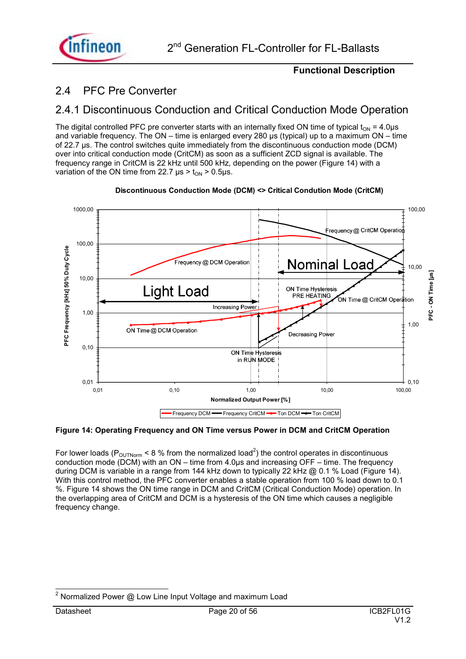

### 2.4 PFC Pre Converter

### 2.4.1 Discontinuous Conduction and Critical Conduction Mode Operation

The digital controlled PFC pre converter starts with an internally fixed ON time of typical  $t_{ON} = 4.0 \mu s$ and variable frequency. The ON – time is enlarged every 280 us (typical) up to a maximum ON – time of 22.7 µs. The control switches quite immediately from the discontinuous conduction mode (DCM) over into critical conduction mode (CritCM) as soon as a sufficient ZCD signal is available. The frequency range in CritCM is 22 kHz until 500 kHz, depending on the power (Figure 14) with a variation of the ON time from 22.7  $\mu$ s > t<sub>on</sub> > 0.5 $\mu$ s.



**Discontinuous Conduction Mode (DCM) <> Critical Condution Mode (CritCM)**

#### **Figure 14: Operating Frequency and ON Time versus Power in DCM and CritCM Operation**

For lower loads (P<sub>OUTNorm</sub> < 8 % from the normalized load<sup>2</sup>) the control operates in discontinuous conduction mode (DCM) with an  $ON -$  time from 4.0 $\mu$ s and increasing OFF  $-$  time. The frequency during DCM is variable in a range from 144 kHz down to typically 22 kHz @ 0.1 % Load (Figure 14). With this control method, the PFC converter enables a stable operation from 100 % load down to 0.1 %. Figure 14 shows the ON time range in DCM and CritCM (Critical Conduction Mode) operation. In the overlapping area of CritCM and DCM is a hysteresis of the ON time which causes a negligible frequency change.

 $\overline{a}$ 2 Normalized Power @ Low Line Input Voltage and maximum Load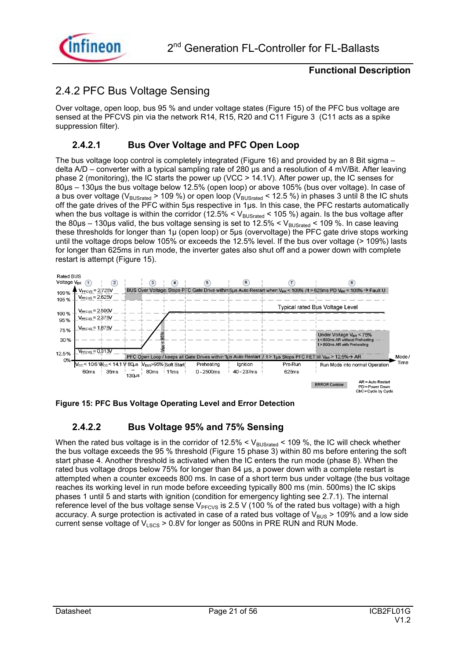

### 2.4.2 PFC Bus Voltage Sensing

Over voltage, open loop, bus 95 % and under voltage states (Figure 15) of the PFC bus voltage are sensed at the PFCVS pin via the network R14, R15, R20 and C11 Figure 3 (C11 acts as a spike suppression filter).

### **2.4.2.1 Bus Over Voltage and PFC Open Loop**

The bus voltage loop control is completely integrated (Figure 16) and provided by an 8 Bit sigma  $$ delta A/D – converter with a typical sampling rate of 280 us and a resolution of 4 mV/Bit. After leaving phase 2 (monitoring), the IC starts the power up (VCC > 14.1V). After power up, the IC senses for 80us – 130us the bus voltage below 12.5% (open loop) or above 105% (bus over voltage). In case of a bus over voltage (V<sub>BUSrated</sub> > 109 %) or open loop (V<sub>BUSrated</sub> < 12.5 %) in phases 3 until 8 the IC shuts off the gate drives of the PFC within 5µs respective in 1µs. In this case, the PFC restarts automatically when the bus voltage is within the corridor (12.5%  $<$  V<sub>BUSrated</sub>  $<$  105 %) again. Is the bus voltage after the 80 $\mu$ s – 130 $\mu$ s valid, the bus voltage sensing is set to 12.5% < V<sub>BUSrated</sub> < 109 %. In case leaving these thresholds for longer than 1µ (open loop) or 5µs (overvoltage) the PFC gate drive stops working until the voltage drops below 105% or exceeds the 12.5% level. If the bus over voltage (> 109%) lasts for longer than 625ms in run mode, the inverter gates also shut off and a power down with complete restart is attempt (Figure 15).



**Figure 15: PFC Bus Voltage Operating Level and Error Detection** 

### **2.4.2.2 Bus Voltage 95% and 75% Sensing**

When the rated bus voltage is in the corridor of 12.5%  $<$  V<sub>BUSrated</sub>  $<$  109 %, the IC will check whether the bus voltage exceeds the 95 % threshold (Figure 15 phase 3) within 80 ms before entering the soft start phase 4. Another threshold is activated when the IC enters the run mode (phase 8). When the rated bus voltage drops below 75% for longer than 84 µs, a power down with a complete restart is attempted when a counter exceeds 800 ms. In case of a short term bus under voltage (the bus voltage reaches its working level in run mode before exceeding typically 800 ms (min. 500ms) the IC skips phases 1 until 5 and starts with ignition (condition for emergency lighting see 2.7.1). The internal reference level of the bus voltage sense  $V<sub>PFCVS</sub>$  is 2.5 V (100 % of the rated bus voltage) with a high accuracy. A surge protection is activated in case of a rated bus voltage of  $V_{BUS}$  > 109% and a low side current sense voltage of  $V_{LSCS}$  > 0.8V for longer as 500ns in PRE RUN and RUN Mode.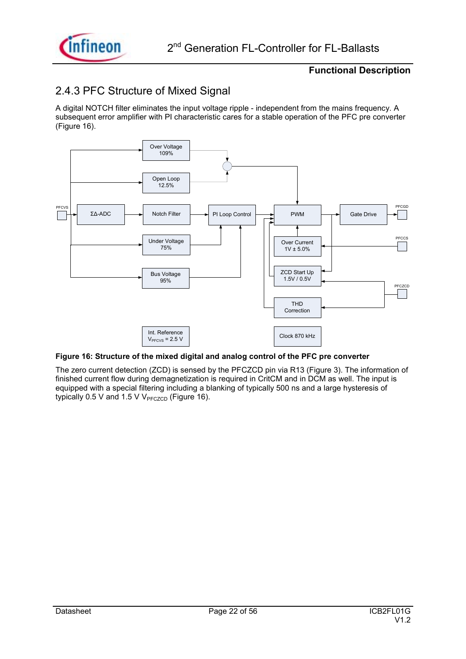

### 2.4.3 PFC Structure of Mixed Signal

A digital NOTCH filter eliminates the input voltage ripple - independent from the mains frequency. A subsequent error amplifier with PI characteristic cares for a stable operation of the PFC pre converter (Figure 16).



#### **Figure 16: Structure of the mixed digital and analog control of the PFC pre converter**

The zero current detection (ZCD) is sensed by the PFCZCD pin via R13 (Figure 3). The information of finished current flow during demagnetization is required in CritCM and in DCM as well. The input is equipped with a special filtering including a blanking of typically 500 ns and a large hysteresis of typically 0.5 V and 1.5 V  $V_{\text{PFCZCD}}$  (Figure 16).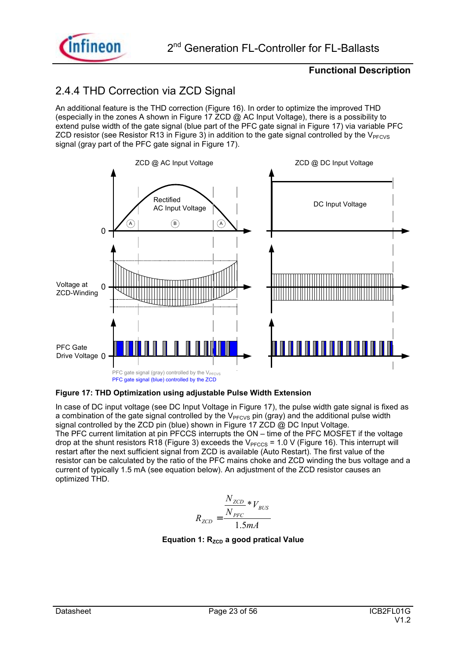

### 2.4.4 THD Correction via ZCD Signal

An additional feature is the THD correction (Figure 16). In order to optimize the improved THD (especially in the zones A shown in Figure 17 ZCD  $\omega$  AC Input Voltage), there is a possibility to extend pulse width of the gate signal (blue part of the PFC gate signal in Figure 17) via variable PFC ZCD resistor (see Resistor R13 in Figure 3) in addition to the gate signal controlled by the  $V_{PFCVS}$ signal (gray part of the PFC gate signal in Figure 17).



#### **Figure 17: THD Optimization using adjustable Pulse Width Extension**

In case of DC input voltage (see DC Input Voltage in Figure 17), the pulse width gate signal is fixed as a combination of the gate signal controlled by the  $V<sub>PFCVS</sub>$  pin (gray) and the additional pulse width signal controlled by the ZCD pin (blue) shown in Figure 17 ZCD @ DC Input Voltage. The PFC current limitation at pin PFCCS interrupts the ON – time of the PFC MOSFET if the voltage drop at the shunt resistors R18 (Figure 3) exceeds the  $V<sub>PFCCS</sub> = 1.0 V$  (Figure 16). This interrupt will restart after the next sufficient signal from ZCD is available (Auto Restart). The first value of the resistor can be calculated by the ratio of the PFC mains choke and ZCD winding the bus voltage and a current of typically 1.5 mA (see equation below). An adjustment of the ZCD resistor causes an optimized THD.

$$
R_{ZCD} = \frac{N_{ZCD} * V_{BUS}}{1.5mA}
$$

**Equation 1: R<sub>zCD</sub> a good pratical Value**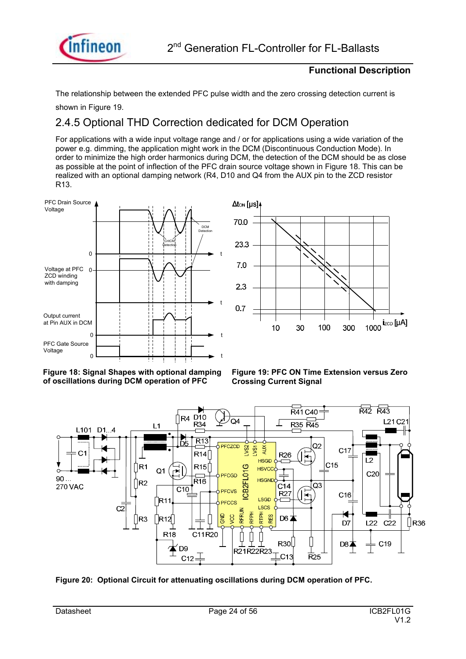

The relationship between the extended PFC pulse width and the zero crossing detection current is

shown in Figure 19.

### 2.4.5 Optional THD Correction dedicated for DCM Operation

For applications with a wide input voltage range and / or for applications using a wide variation of the power e.g. dimming, the application might work in the DCM (Discontinuous Conduction Mode). In order to minimize the high order harmonics during DCM, the detection of the DCM should be as close as possible at the point of inflection of the PFC drain source voltage shown in Figure 18. This can be realized with an optional damping network (R4, D10 and Q4 from the AUX pin to the ZCD resistor R13.











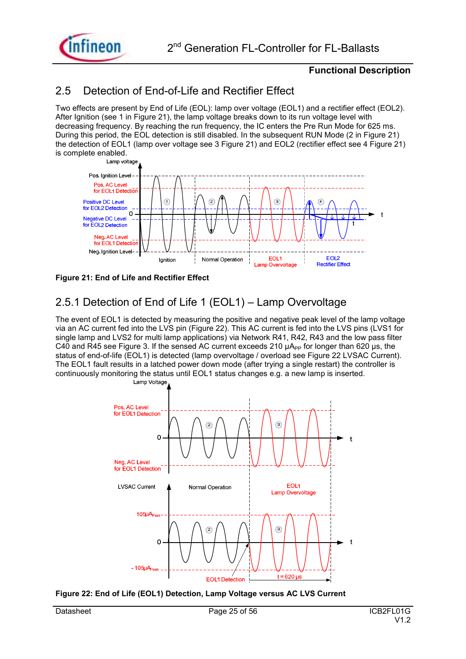

### 2.5 Detection of End-of-Life and Rectifier Effect

Two effects are present by End of Life (EOL): lamp over voltage (EOL1) and a rectifier effect (EOL2). After Ignition (see 1 in Figure 21), the lamp voltage breaks down to its run voltage level with decreasing frequency. By reaching the run frequency, the IC enters the Pre Run Mode for 625 ms. During this period, the EOL detection is still disabled. In the subsequent RUN Mode (2 in Figure 21) the detection of EOL1 (lamp over voltage see 3 Figure 21) and EOL2 (rectifier effect see 4 Figure 21) is complete enabled.



**Figure 21: End of Life and Rectifier Effect** 

### 2.5.1 Detection of End of Life 1 (EOL1)  $-$  Lamp Overvoltage

The event of EOL1 is detected by measuring the positive and negative peak level of the lamp voltage via an AC current fed into the LVS pin (Figure 22). This AC current is fed into the LVS pins (LVS1 for single lamp and LVS2 for multi lamp applications) via Network R41, R42, R43 and the low pass filter C40 and R45 see Figure 3. If the sensed AC current exceeds 210  $\mu A_{PP}$  for longer than 620  $\mu$ s, the status of end-of-life (EOL1) is detected (lamp overvoltage / overload see Figure 22 LVSAC Current). The EOL1 fault results in a latched power down mode (after trying a single restart) the controller is continuously monitoring the status until EOL1 status changes e.g. a new lamp is inserted.



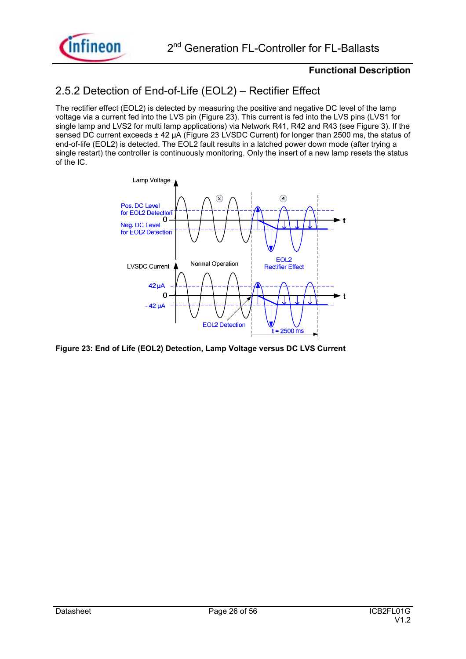

### 2.5.2 Detection of End-of-Life (EOL2) – Rectifier Effect

The rectifier effect (EOL2) is detected by measuring the positive and negative DC level of the lamp voltage via a current fed into the LVS pin (Figure 23). This current is fed into the LVS pins (LVS1 for single lamp and LVS2 for multi lamp applications) via Network R41, R42 and R43 (see Figure 3). If the sensed DC current exceeds ± 42 µA (Figure 23 LVSDC Current) for longer than 2500 ms, the status of end-of-life (EOL2) is detected. The EOL2 fault results in a latched power down mode (after trying a single restart) the controller is continuously monitoring. Only the insert of a new lamp resets the status of the IC.



**Figure 23: End of Life (EOL2) Detection, Lamp Voltage versus DC LVS Current**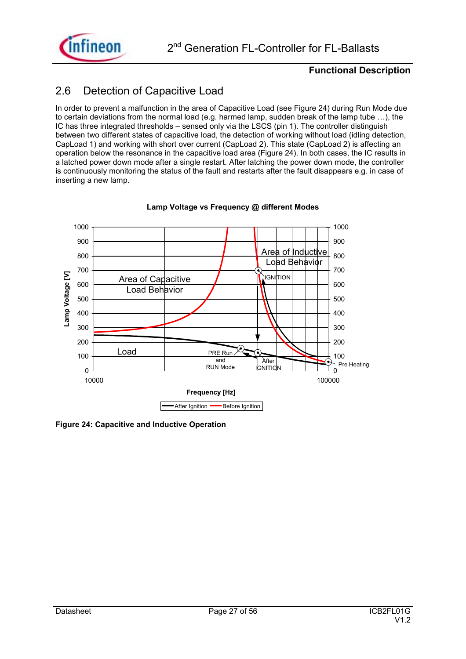

### 2.6 Detection of Capacitive Load

In order to prevent a malfunction in the area of Capacitive Load (see Figure 24) during Run Mode due to certain deviations from the normal load (e.g. harmed lamp, sudden break of the lamp tube  $\dots$ ), the IC has three integrated thresholds – sensed only via the LSCS (pin 1). The controller distinguish between two different states of capacitive load, the detection of working without load (idling detection, CapLoad 1) and working with short over current (CapLoad 2). This state (CapLoad 2) is affecting an operation below the resonance in the capacitive load area (Figure 24). In both cases, the IC results in a latched power down mode after a single restart. After latching the power down mode, the controller is continuously monitoring the status of the fault and restarts after the fault disappears e.g. in case of inserting a new lamp.



#### **Lamp Voltage vs Frequency @ different Modes**

**Figure 24: Capacitive and Inductive Operation**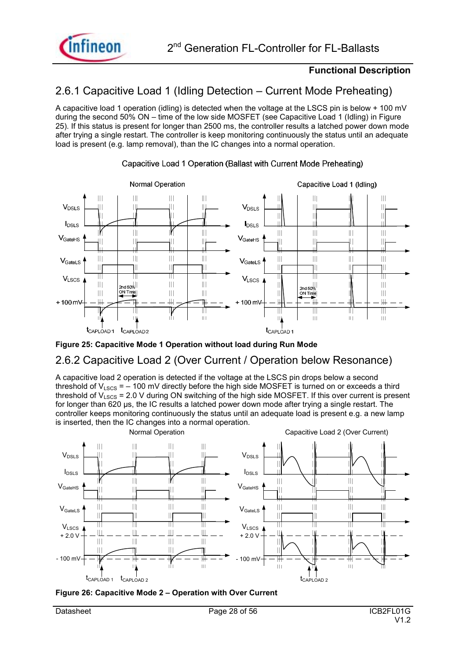

### 2.6.1 Capacitive Load 1 (Idling Detection – Current Mode Preheating)

A capacitive load 1 operation (idling) is detected when the voltage at the LSCS pin is below + 100 mV during the second 50% ON – time of the low side MOSFET (see Capacitive Load 1 (Idling) in Figure 25). If this status is present for longer than 2500 ms, the controller results a latched power down mode after trying a single restart. The controller is keep monitoring continuously the status until an adequate load is present (e.g. lamp removal), than the IC changes into a normal operation.



#### Capacitive Load 1 Operation (Ballast with Current Mode Preheating)



### 2.6.2 Capacitive Load 2 (Over Current / Operation below Resonance)

A capacitive load 2 operation is detected if the voltage at the LSCS pin drops below a second threshold of V<sub>LSCS</sub> =  $-$  100 mV directly before the high side MOSFET is turned on or exceeds a third threshold of  $V_{LSCS}$  = 2.0 V during ON switching of the high side MOSFET. If this over current is present for longer than 620 µs, the IC results a latched power down mode after trying a single restart. The controller keeps monitoring continuously the status until an adequate load is present e.g. a new lamp is inserted, then the IC changes into a normal operation.



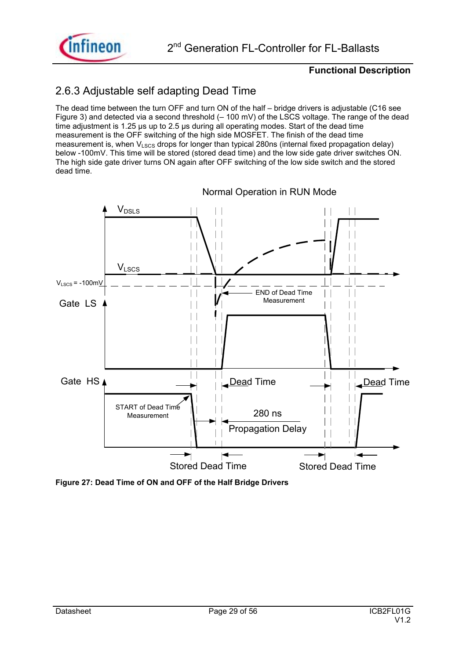

### 2.6.3 Adjustable self adapting Dead Time

The dead time between the turn OFF and turn ON of the half  $-$  bridge drivers is adjustable (C16 see Figure 3) and detected via a second threshold  $(-100 \text{ mV})$  of the LSCS voltage. The range of the dead time adjustment is 1.25 µs up to 2.5 µs during all operating modes. Start of the dead time measurement is the OFF switching of the high side MOSFET. The finish of the dead time measurement is, when  $V_{LSCS}$  drops for longer than typical 280ns (internal fixed propagation delay) below -100mV. This time will be stored (stored dead time) and the low side gate driver switches ON. The high side gate driver turns ON again after OFF switching of the low side switch and the stored dead time.



**Figure 27: Dead Time of ON and OFF of the Half Bridge Drivers**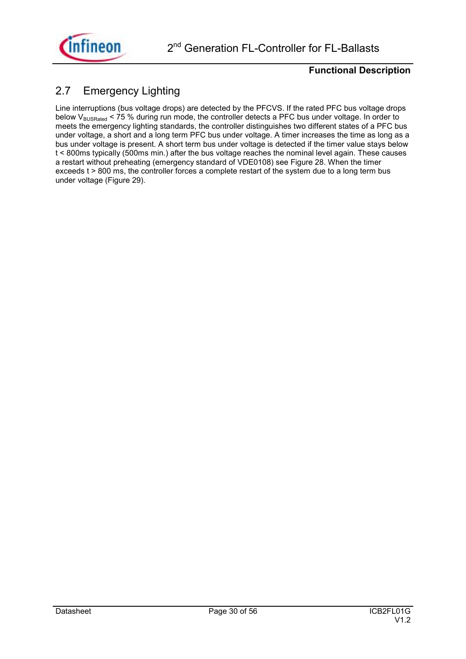

### 2.7 Emergency Lighting

Line interruptions (bus voltage drops) are detected by the PFCVS. If the rated PFC bus voltage drops below V<sub>BUSRated</sub> < 75 % during run mode, the controller detects a PFC bus under voltage. In order to meets the emergency lighting standards, the controller distinguishes two different states of a PFC bus under voltage, a short and a long term PFC bus under voltage. A timer increases the time as long as a bus under voltage is present. A short term bus under voltage is detected if the timer value stays below t < 800ms typically (500ms min.) after the bus voltage reaches the nominal level again. These causes a restart without preheating (emergency standard of VDE0108) see Figure 28. When the timer exceeds t > 800 ms, the controller forces a complete restart of the system due to a long term bus under voltage (Figure 29).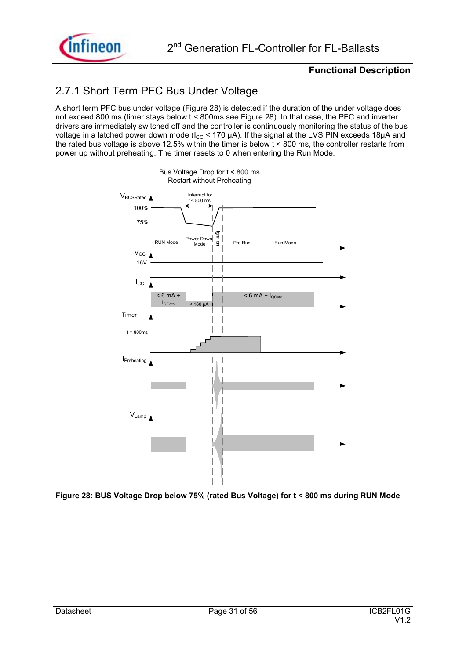

### 2.7.1 Short Term PFC Bus Under Voltage

A short term PFC bus under voltage (Figure 28) is detected if the duration of the under voltage does not exceed 800 ms (timer stays below t < 800ms see Figure 28). In that case, the PFC and inverter drivers are immediately switched off and the controller is continuously monitoring the status of the bus voltage in a latched power down mode ( $I_{CC}$  < 170 µA). If the signal at the LVS PIN exceeds 18µA and the rated bus voltage is above 12.5% within the timer is below  $t < 800$  ms, the controller restarts from power up without preheating. The timer resets to 0 when entering the Run Mode.

Bus Voltage Drop for t < 800 ms



**Figure 28: BUS Voltage Drop below 75% (rated Bus Voltage) for t < 800 ms during RUN Mode**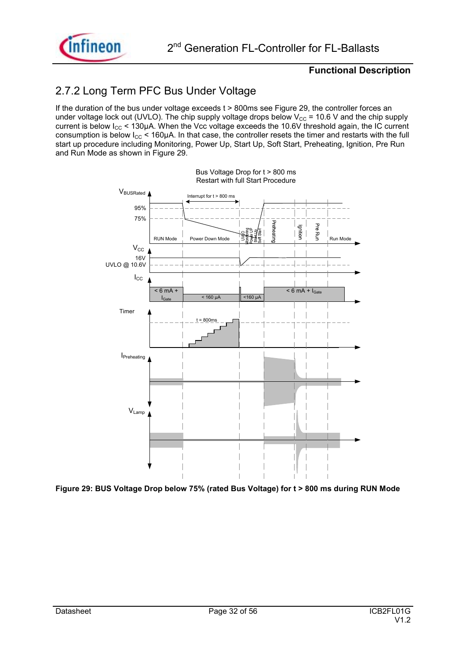

### 2.7.2 Long Term PFC Bus Under Voltage

If the duration of the bus under voltage exceeds t > 800ms see Figure 29, the controller forces an under voltage lock out (UVLO). The chip supply voltage drops below  $V_{CC}$  = 10.6 V and the chip supply current is below  $I_{CC}$  < 130µA. When the Vcc voltage exceeds the 10.6V threshold again, the IC current consumption is below  $I_{CC}$  < 160 $\mu$ A. In that case, the controller resets the timer and restarts with the full start up procedure including Monitoring, Power Up, Start Up, Soft Start, Preheating, Ignition, Pre Run and Run Mode as shown in Figure 29.



**Figure 29: BUS Voltage Drop below 75% (rated Bus Voltage) for t > 800 ms during RUN Mode**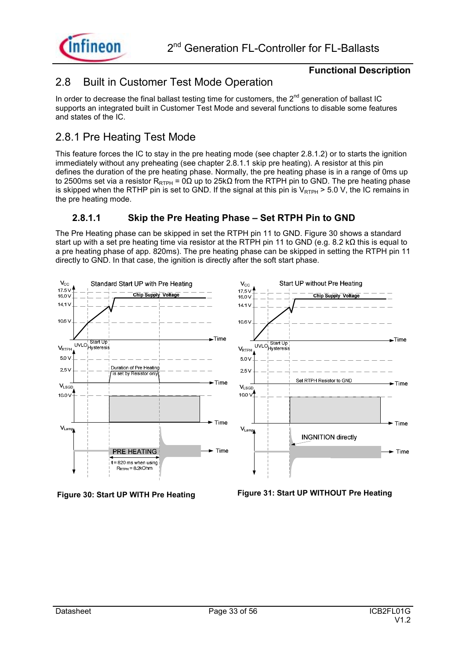



### 2.8 Built in Customer Test Mode Operation

In order to decrease the final ballast testing time for customers, the  $2^{nd}$  generation of ballast IC supports an integrated built in Customer Test Mode and several functions to disable some features and states of the IC.

### 2.8.1 Pre Heating Test Mode

This feature forces the IC to stay in the pre heating mode (see chapter 2.8.1.2) or to starts the ignition immediately without any preheating (see chapter 2.8.1.1 skip pre heating). A resistor at this pin defines the duration of the pre heating phase. Normally, the pre heating phase is in a range of 0ms up to 2500ms set via a resistor R<sub>RTPH</sub> = 0Ω up to 25kΩ from the RTPH pin to GND. The pre heating phase is skipped when the RTHP pin is set to GND. If the signal at this pin is  $V_{RTPH} > 5.0$  V, the IC remains in the pre heating mode.

### **2.8.1.1** Skip the Pre Heating Phase – Set RTPH Pin to GND

The Pre Heating phase can be skipped in set the RTPH pin 11 to GND. Figure 30 shows a standard start up with a set pre heating time via resistor at the RTPH pin 11 to GND (e.g. 8.2 kΩ this is equal to a pre heating phase of app. 820ms). The pre heating phase can be skipped in setting the RTPH pin 11 directly to GND. In that case, the ignition is directly after the soft start phase.





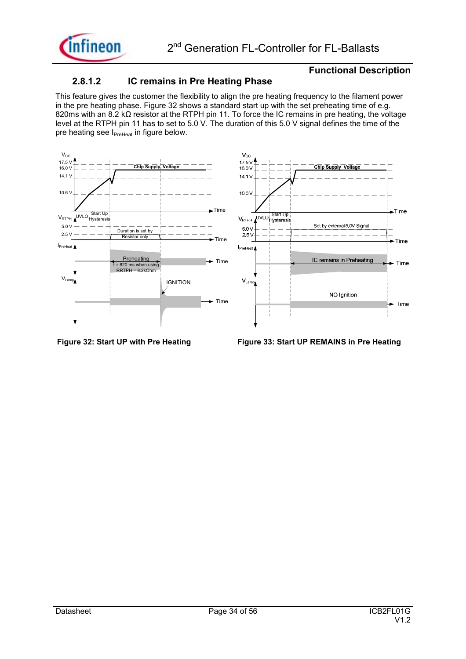

#### **2.8.1.2 IC remains in Pre Heating Phase**

This feature gives the customer the flexibility to align the pre heating frequency to the filament power in the pre heating phase. Figure 32 shows a standard start up with the set preheating time of e.g. 820ms with an 8.2 kΩ resistor at the RTPH pin 11. To force the IC remains in pre heating, the voltage level at the RTPH pin 11 has to set to 5.0 V. The duration of this 5.0 V signal defines the time of the pre heating see I<sub>PreHeat</sub> in figure below.



**Figure 32: Start UP with Pre Heating Figure 33: Start UP REMAINS in Pre Heating**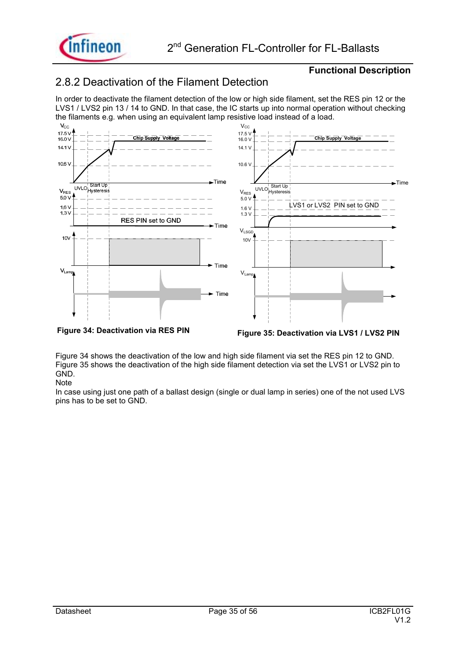

### 2.8.2 Deactivation of the Filament Detection

In order to deactivate the filament detection of the low or high side filament, set the RES pin 12 or the LVS1 / LVS2 pin 13 / 14 to GND. In that case, the IC starts up into normal operation without checking



Figure 34 shows the deactivation of the low and high side filament via set the RES pin 12 to GND. Figure 35 shows the deactivation of the high side filament detection via set the LVS1 or LVS2 pin to GND. **Note** 

In case using just one path of a ballast design (single or dual lamp in series) one of the not used LVS pins has to be set to GND.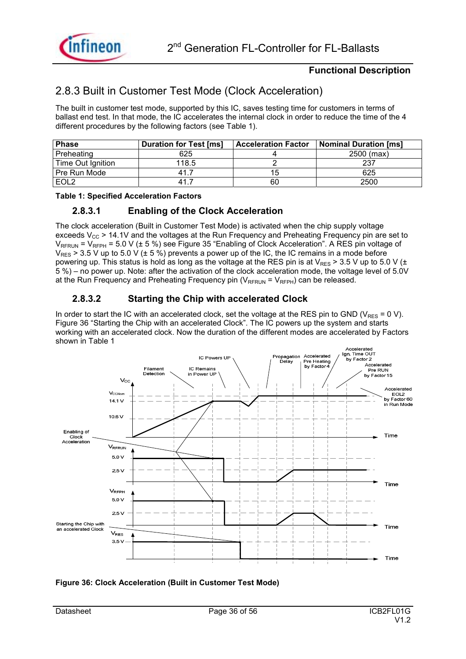

### 2.8.3 Built in Customer Test Mode (Clock Acceleration)

The built in customer test mode, supported by this IC, saves testing time for customers in terms of ballast end test. In that mode, the IC accelerates the internal clock in order to reduce the time of the 4 different procedures by the following factors (see Table 1).

| <b>Phase</b>      | <b>Duration for Test [ms]</b> | <b>Acceleration Factor</b> | Nominal Duration [ms] |
|-------------------|-------------------------------|----------------------------|-----------------------|
| Preheating        | 625                           |                            | $2500$ (max)          |
| Time Out Ignition | 118.5                         |                            | 237                   |
| Pre Run Mode      | 41.                           | 15.                        | 625                   |
| EOL <sub>2</sub>  | 41.                           | 60                         | 2500                  |

#### **Table 1: Specified Acceleration Factors**

#### **2.8.3.1 Enabling of the Clock Acceleration**

The clock acceleration (Built in Customer Test Mode) is activated when the chip supply voltage exceeds  $V_{CC}$  > 14.1V and the voltages at the Run Frequency and Preheating Frequency pin are set to  $V_{RFRUN}$  = V<sub>RFPH</sub> = 5.0 V ( $\pm$  5 %) see Figure 35 "Enabling of Clock Acceleration". A RES pin voltage of  $V_{RES}$  > 3.5 V up to 5.0 V ( $\pm$  5 %) prevents a power up of the IC, the IC remains in a mode before powering up. This status is hold as long as the voltage at the RES pin is at  $V_{RFS}$  > 3.5 V up to 5.0 V ( $\pm$ 5 %) – no power up. Note: after the activation of the clock acceleration mode, the voltage level of 5.0V at the Run Frequency and Preheating Frequency pin  $(V_{\text{RFRUN}} = V_{\text{RFPH}})$  can be released.

#### **2.8.3.2 Starting the Chip with accelerated Clock**

In order to start the IC with an accelerated clock, set the voltage at the RES pin to GND ( $V_{RFS} = 0$  V). Figure 36 "Starting the Chip with an accelerated Clock". The IC powers up the system and starts working with an accelerated clock. Now the duration of the different modes are accelerated by Factors shown in Table 1



#### **Figure 36: Clock Acceleration (Built in Customer Test Mode)**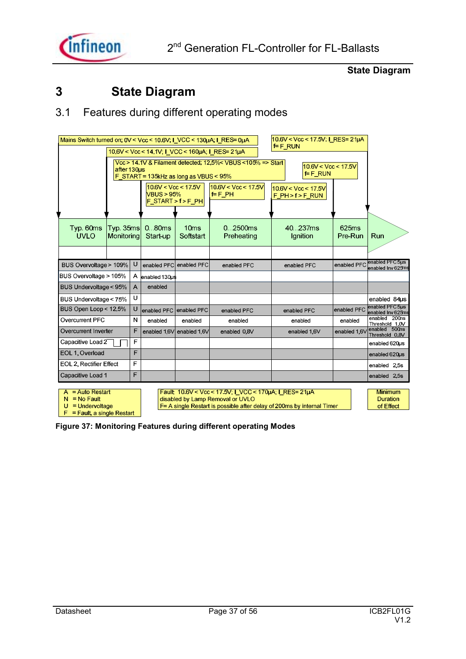

### **State Diagram**

### **3 State Diagram**

### 3.1 Features during different operating modes

| Mains Switch turned on: 0V < Vcc < 10.6V; I VCC < 130uA; I RES= 0uA                                                                                            |                                                                                                                                                   |   |                         |                               |                                                        | $F$ RUN | 10 6V < Vcc < 17 5V, I_RES= 21µA |                  |                                      |  |
|----------------------------------------------------------------------------------------------------------------------------------------------------------------|---------------------------------------------------------------------------------------------------------------------------------------------------|---|-------------------------|-------------------------------|--------------------------------------------------------|---------|----------------------------------|------------------|--------------------------------------|--|
| 10.6V < Vcc < 14.1V, I VCC < 160uA, I RES= 21uA                                                                                                                |                                                                                                                                                   |   |                         |                               |                                                        |         |                                  |                  |                                      |  |
| Vcc > 14.1V & Filament detected, 12.5%< VBUS <105% => Start<br>10.6V < Vcc < 17.5V<br>after 130us<br>$F$ F_RUN<br>F START = $135k$ Hz as long as VBUS < $95\%$ |                                                                                                                                                   |   |                         |                               |                                                        |         |                                  |                  |                                      |  |
|                                                                                                                                                                | $10.6$ V < Vcc < 17.5V<br>$10.6$ V < Vcc < 17.5V<br>10.6V < Vcc < 17.5V<br>VBUS > 95%<br>F F PH<br>$F$ PH > $f$ > $F$ RUN<br>$F$ START > f > F PH |   |                         |                               |                                                        |         |                                  |                  |                                      |  |
|                                                                                                                                                                |                                                                                                                                                   |   |                         |                               |                                                        |         |                                  |                  |                                      |  |
| Typ. 60ms<br><b>UVLO</b>                                                                                                                                       | Typ. 35ms<br>Monitoring                                                                                                                           |   | 080ms<br>Start-up       | 10 <sub>ms</sub><br>Softstart | 0.02500ms<br>Preheating                                |         | 40.237ms<br>lanition             | 625ms<br>Pre-Run | Run                                  |  |
|                                                                                                                                                                |                                                                                                                                                   |   |                         |                               |                                                        |         |                                  |                  |                                      |  |
| BUS Overvoltage > 109%                                                                                                                                         |                                                                                                                                                   | U |                         | enabled PFC enabled PFC       | enabled PFC                                            |         | enabled PFC                      | enabled PFC      | enabled PFC 5us<br>enabled Inv 625ms |  |
| BUS Overvoltage > 105%                                                                                                                                         |                                                                                                                                                   |   | A enabled 130us         |                               |                                                        |         |                                  |                  |                                      |  |
| BUS Undervoltage < 95%                                                                                                                                         |                                                                                                                                                   | A | enabled                 |                               |                                                        |         |                                  |                  |                                      |  |
| BUS Undervoltage < 75%                                                                                                                                         |                                                                                                                                                   | U |                         |                               |                                                        |         |                                  |                  | enabled 84us                         |  |
| BUS Open Loop < 12.5%                                                                                                                                          |                                                                                                                                                   | υ | enabled PFC enabled PFC |                               | enabled PFC                                            |         | enabled PFC                      | enabled PFC      | enabled PFC 5us<br>enabled Inv 625ms |  |
| Overcurrent PFC                                                                                                                                                |                                                                                                                                                   | N | enabled                 | enabled                       | enabled                                                |         | enabled                          | enabled          | enabled 200ns<br>Threshold 1.0V      |  |
| Overcurrent Inverter                                                                                                                                           |                                                                                                                                                   | F |                         | enabled 1,6V enabled 1,6V     | enabled 0.8V                                           |         | enabled 1,6V                     | enabled 1,6V     | enabled 500ns<br>Threshold 0.8V      |  |
| Capacitive Load 2                                                                                                                                              |                                                                                                                                                   | F |                         |                               |                                                        |         |                                  |                  | enabled 620us                        |  |
| F<br>EOL 1. Overload                                                                                                                                           |                                                                                                                                                   |   |                         |                               |                                                        |         |                                  | enabled 620us    |                                      |  |
|                                                                                                                                                                | F<br>EOL 2, Rectifier Effect                                                                                                                      |   |                         |                               |                                                        |         | enabled 2.5s                     |                  |                                      |  |
| Capacitive Load 1                                                                                                                                              |                                                                                                                                                   | E |                         |                               |                                                        |         |                                  |                  | enabled 2,5s                         |  |
| $=$ Auto Restart<br>A                                                                                                                                          |                                                                                                                                                   |   |                         |                               | Fault: 10.6V < Vcc < 17.5V, I VCC < 170uA, I RES= 21uA |         |                                  |                  | <b>Minimum</b>                       |  |

 $A = Auto Restart$ 

 $N = No$  Fault

 $U =$  Undervoltage

 $F =$  Fault, a single Restart

Fault: 10.6V < Vcc < 17.5V; I\_VCC < 170µA; I\_RES= 21µA<br>disabled by Lamp Removal or UVLO

 $F = A$  single Restart is possible after delay of 200ms by internal Timer

Duration of Effect

**Figure 37: Monitoring Features during different operating Modes**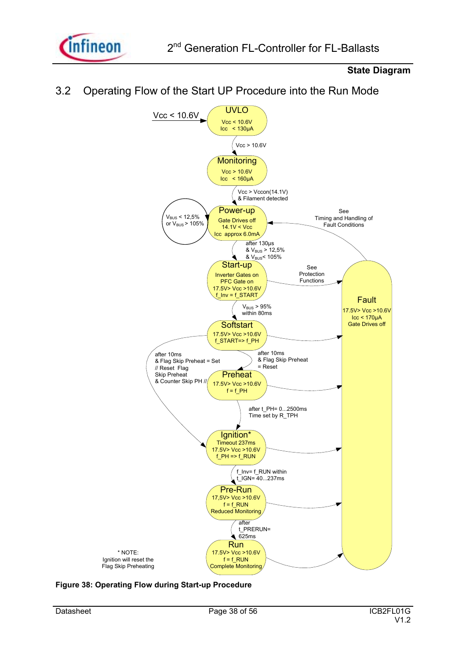

### **State Diagram**





**Figure 38: Operating Flow during Start-up Procedure**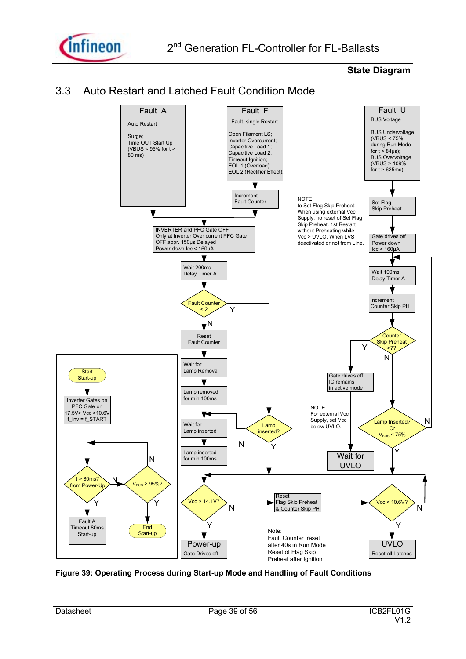

#### **State Diagram**





**Figure 39: Operating Process during Start-up Mode and Handling of Fault Conditions**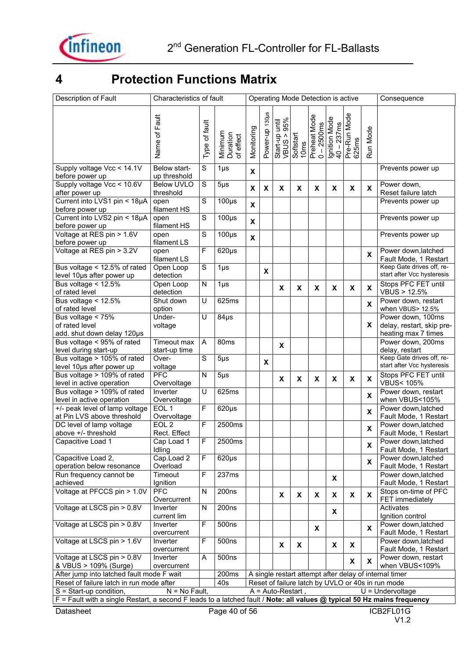

## **4 Protection Functions Matrix**

| Description of Fault                                                                                                    | Characteristics of fault         |                |                                  |                           |                |                                                                                   |                    |   | Operating Mode Detection is active |                       |                           | Consequence                                                           |
|-------------------------------------------------------------------------------------------------------------------------|----------------------------------|----------------|----------------------------------|---------------------------|----------------|-----------------------------------------------------------------------------------|--------------------|---|------------------------------------|-----------------------|---------------------------|-----------------------------------------------------------------------|
|                                                                                                                         | Fault                            |                |                                  |                           | Power-up 130µs |                                                                                   |                    |   |                                    | Pre-Run Mode<br>625ms |                           |                                                                       |
|                                                                                                                         | Name of                          | Type of fault  | Minimum<br>Duration<br>of effect | Monitoring                |                | Start-up until<br>VBUS > 95%<br>Softstart<br>10ms<br>Preheat Mode<br>Preheat Mode |                    |   | Ignition Mode<br>40 – 237 ms       |                       | Run Mode                  |                                                                       |
| Supply voltage Vcc < 14.1V<br>before power up                                                                           | Below start-<br>up threshold     | $\mathbf S$    | $1\mu$ s                         | X                         |                |                                                                                   |                    |   |                                    |                       |                           | Prevents power up                                                     |
| Supply voltage Vcc < 10.6V<br>after power up                                                                            | <b>Below UVLO</b><br>threshold   | $\overline{s}$ | $5\mu$ s                         | X                         | X              | X                                                                                 | X                  | X | X                                  | X                     | X                         | Power down,<br>Reset failure latch                                    |
| Current into LVS1 pin < 18µA<br>before power up                                                                         | open<br>filament HS              | S              | $100\mu s$                       | $\boldsymbol{\mathsf{x}}$ |                |                                                                                   |                    |   |                                    |                       |                           | Prevents power up                                                     |
| Current into LVS2 pin < 18µA<br>before power up                                                                         | open<br>filament HS              | S              | $100\mu s$                       | X                         |                |                                                                                   |                    |   |                                    |                       |                           | Prevents power up                                                     |
| Voltage at RES pin > 1.6V<br>before power up                                                                            | open<br>filament LS              | S              | $100\mu s$                       | $\boldsymbol{\mathsf{x}}$ |                |                                                                                   |                    |   |                                    |                       |                           | Prevents power up                                                     |
| Voltage at RES pin > 3.2V                                                                                               | open<br>filament LS              | F              | $620\mu s$                       |                           |                |                                                                                   |                    |   |                                    |                       | X                         | Power down, latched<br>Fault Mode, 1 Restart                          |
| Bus voltage < 12.5% of rated<br>level 10µs after power up                                                               | Open Loop<br>detection           | S              | $1\mu$ s                         |                           | X              |                                                                                   |                    |   |                                    |                       |                           | Keep Gate drives off, re-<br>start after Vcc hysteresis               |
| Bus voltage $< 12.5\%$<br>of rated level                                                                                | Open Loop<br>detection           | N              | $1\mu$ s                         |                           |                | X                                                                                 | $\pmb{\mathsf{x}}$ | X | X                                  | X                     | X                         | Stops PFC FET until<br><b>VBUS &gt; 12.5%</b>                         |
| Bus voltage $< 12.5\%$<br>of rated level                                                                                | Shut down<br>option              | U              | 625ms                            |                           |                |                                                                                   |                    |   |                                    |                       | $\boldsymbol{\mathsf{x}}$ | Power down, restart<br>when VBUS> 12.5%                               |
| Bus voltage < 75%<br>of rated level<br>add. shut down delay 120µs                                                       | Under-<br>voltage                | U              | $84\mu s$                        |                           |                |                                                                                   |                    |   |                                    |                       | X.                        | Power down, 100ms<br>delay, restart, skip pre-<br>heating max 7 times |
| Bus voltage < 95% of rated<br>level during start-up                                                                     | Timeout max<br>start-up time     | Α              | 80ms                             |                           |                | X                                                                                 |                    |   |                                    |                       |                           | Power down, 200ms<br>delay, restart                                   |
| Bus voltage > 105% of rated<br>level 10µs after power up                                                                | Over-<br>voltage                 | S              | $5\mu$ s                         |                           | X              |                                                                                   |                    |   |                                    |                       |                           | Keep Gate drives off, re-<br>start after Vcc hysteresis               |
| Bus voltage > 109% of rated<br>level in active operation                                                                | PFC<br>Overvoltage               | N              | $5\mu$ s                         |                           |                | X                                                                                 | X                  | X | X                                  | X                     | X                         | Stops PFC FET until<br><b>VBUS&lt;105%</b>                            |
| Bus voltage > 109% of rated<br>level in active operation                                                                | Inverter<br>Overvoltage          | U              | 625ms                            |                           |                |                                                                                   |                    |   |                                    |                       | X                         | Power down, restart<br>when VBUS<105%                                 |
| +/- peak level of lamp voltage<br>at Pin LVS above threshold                                                            | EOL <sub>1</sub><br>Overvoltage  | F              | $620\mu s$                       |                           |                |                                                                                   |                    |   |                                    |                       | $\boldsymbol{\mathsf{x}}$ | Power down, latched<br>Fault Mode, 1 Restart                          |
| DC level of lamp voltage<br>above +/- threshold                                                                         | EOL <sub>2</sub><br>Rect. Effect | F              | 2500ms                           |                           |                |                                                                                   |                    |   |                                    |                       | X                         | Power down, latched<br>Fault Mode, 1 Restart                          |
| Capacitive Load 1                                                                                                       | Cap Load 1<br>Idling             | F              | 2500ms                           |                           |                |                                                                                   |                    |   |                                    |                       | X                         | Power down, latched<br>Fault Mode, 1 Restart                          |
| Capacitive Load 2,<br>operation below resonance                                                                         | Cap.Load 2<br>Overload           | F              | $620\mu s$                       |                           |                |                                                                                   |                    |   |                                    |                       | $\mathbf{x}$              | Power down, latched<br>Fault Mode, 1 Restart                          |
| Run frequency cannot be<br>achieved                                                                                     | Timeout<br>Ignition              | F              | 237ms                            |                           |                |                                                                                   |                    |   | X                                  |                       |                           | Power down, latched<br>Fault Mode, 1 Restart                          |
| Voltage at PFCCS pin > 1.0V                                                                                             | <b>PFC</b><br>Overcurrent        | N              | 200 <sub>ns</sub>                |                           |                | $\pmb{\mathsf{X}}$                                                                | $\pmb{\mathsf{X}}$ | X | X                                  | X                     | $\mathbf{x}$              | Stops on-time of PFC<br>FET immediately                               |
| Voltage at LSCS pin > 0.8V                                                                                              | Inverter<br>current lim          | N              | 200 <sub>ns</sub>                |                           |                |                                                                                   |                    |   | X                                  |                       |                           | Activates<br>Ignition control                                         |
| Voltage at LSCS pin > 0.8V                                                                                              | Inverter<br>overcurrent          | F              | 500ns                            |                           |                |                                                                                   |                    | X |                                    |                       | $\mathbf{x}$              | Power down, latched<br>Fault Mode, 1 Restart                          |
| Voltage at LSCS pin > 1.6V                                                                                              | Inverter<br>overcurrent          | F              | 500ns                            |                           |                | $\pmb{\mathsf{X}}$                                                                | X                  |   | X                                  | X                     |                           | Power down, latched<br>Fault Mode, 1 Restart                          |
| Voltage at LSCS pin > 0.8V<br>& VBUS > 109% (Surge)                                                                     | Inverter<br>overcurrent          | A              | 500ns                            |                           |                |                                                                                   |                    |   |                                    | X                     | X                         | Power down, restart<br>when VBUS<109%                                 |
| After jump into latched fault mode F wait                                                                               |                                  |                | 200ms                            |                           |                |                                                                                   |                    |   |                                    |                       |                           | A single restart attempt after delay of internal timer                |
| Reset of failure latch in run mode after                                                                                |                                  |                | 40s                              |                           |                |                                                                                   |                    |   |                                    |                       |                           | Reset of failure latch by UVLO or 40s in run mode                     |
| $S = Start-up condition,$                                                                                               | $N = No$ Fault,                  |                |                                  |                           |                | $A = Auto-Restart$ .                                                              |                    |   |                                    |                       |                           | $U =$ Undervoltage                                                    |
| F = Fault with a single Restart, a second F leads to a latched fault / Note: all values @ typical 50 Hz mains frequency |                                  |                |                                  |                           |                |                                                                                   |                    |   |                                    |                       |                           |                                                                       |
|                                                                                                                         |                                  |                |                                  |                           |                |                                                                                   |                    |   |                                    |                       |                           |                                                                       |
| Datasheet                                                                                                               |                                  |                | Page 40 of 56                    |                           |                |                                                                                   |                    |   |                                    |                       |                           | ICB2FL01G                                                             |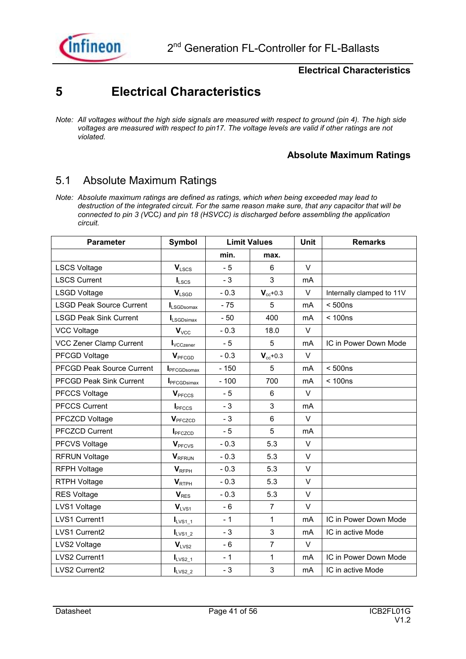

### **5 Electrical Characteristics**

### **Absolute Maximum Ratings**

### 5.1 Absolute Maximum Ratings

*Note: Absolute maximum ratings are defined as ratings, which when being exceeded may lead to destruction of the integrated circuit. For the same reason make sure, that any capacitor that will be connected to pin 3 (V*CC*) and pin 18 (HSVCC) is discharged before assembling the application circuit.* 

| <b>Parameter</b>                 | <b>Symbol</b>              |        | <b>Limit Values</b> | <b>Unit</b>    | <b>Remarks</b>            |
|----------------------------------|----------------------------|--------|---------------------|----------------|---------------------------|
|                                  |                            | min.   | max.                |                |                           |
| <b>LSCS Voltage</b>              | $V_{LSCS}$                 | $-5$   | 6                   | $\vee$         |                           |
| <b>LSCS Current</b>              | $I_{LSCS}$                 | $-3$   | 3                   | m <sub>A</sub> |                           |
| <b>LSGD Voltage</b>              | $V_{LSGD}$                 | $-0.3$ | $V_{cc}$ +0.3       | V              | Internally clamped to 11V |
| <b>LSGD Peak Source Current</b>  | LSGDsomax                  | $-75$  | 5                   | mA             | < 500ns                   |
| <b>LSGD Peak Sink Current</b>    | $I_{LSGDisimax}$           | $-50$  | 400                 | mA             | < 100ns                   |
| <b>VCC Voltage</b>               | $V_{VCC}$                  | $-0.3$ | 18.0                | $\vee$         |                           |
| <b>VCC Zener Clamp Current</b>   | $I_{\text{VCCzener}}$      | $-5$   | 5                   | mA             | IC in Power Down Mode     |
| <b>PFCGD Voltage</b>             | V <sub>PFCGD</sub>         | $-0.3$ | $V_{cc}$ +0.3       | V              |                           |
| <b>PFCGD Peak Source Current</b> | <b>I</b> PFCGDsomax        | $-150$ | 5                   | mA             | < 500ns                   |
| <b>PFCGD Peak Sink Current</b>   | <b>I</b> PFCGDsimax        | $-100$ | 700                 | m <sub>A</sub> | < 100ns                   |
| <b>PFCCS Voltage</b>             | V <sub>PFCCS</sub>         | $-5$   | 6                   | V              |                           |
| <b>PFCCS Current</b>             | I <sub>PFCCS</sub>         | $-3$   | 3                   | m <sub>A</sub> |                           |
| PFCZCD Voltage                   | <b>V</b> <sub>PFCZCD</sub> | - 3    | 6                   | $\vee$         |                           |
| <b>PFCZCD Current</b>            | I <sub>PFCZCD</sub>        | $-5$   | 5                   | m <sub>A</sub> |                           |
| <b>PFCVS Voltage</b>             | <b>V</b> <sub>PFCVS</sub>  | $-0.3$ | 5.3                 | V              |                           |
| <b>RFRUN Voltage</b>             | <b>V</b> RFRUN             | $-0.3$ | 5.3                 | V              |                           |
| <b>RFPH Voltage</b>              | $V_{RFPH}$                 | $-0.3$ | 5.3                 | V              |                           |
| <b>RTPH Voltage</b>              | V <sub>RTPH</sub>          | $-0.3$ | 5.3                 | V              |                           |
| <b>RES Voltage</b>               | $V_{RES}$                  | $-0.3$ | 5.3                 | $\vee$         |                           |
| LVS1 Voltage                     | $V_{LVS1}$                 | $-6$   | $\overline{7}$      | V              |                           |
| LVS1 Current1                    | $I_{LVS1\_1}$              | $-1$   | 1                   | mA             | IC in Power Down Mode     |
| LVS1 Current2                    | $I_{LVS1_2}$               | $-3$   | 3                   | mA             | IC in active Mode         |
| LVS2 Voltage                     | $V_{LVS2}$                 | $-6$   | $\overline{7}$      | $\vee$         |                           |
| LVS2 Current1                    | $I_{LVS2\_1}$              | $-1$   | 1                   | mA             | IC in Power Down Mode     |
| LVS2 Current2                    | $I_{LVS2_2}$               | $-3$   | 3                   | mA             | IC in active Mode         |

*Note: All voltages without the high side signals are measured with respect to ground (pin 4). The high side voltages are measured with respect to pin17. The voltage levels are valid if other ratings are not violated.*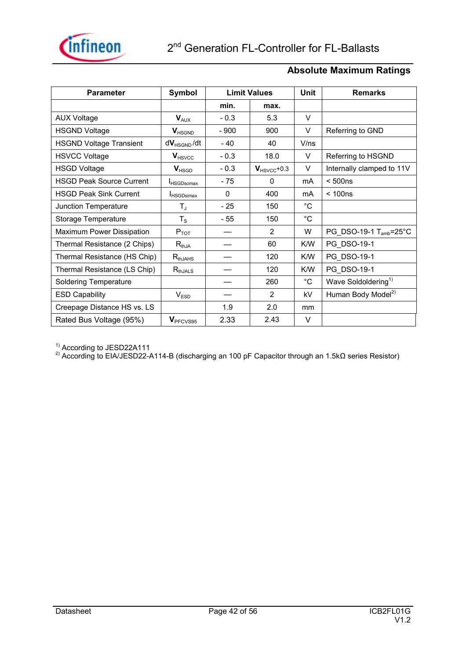

### **Absolute Maximum Ratings**

| <b>Parameter</b>                | Symbol               |          | <b>Limit Values</b>     |             | <b>Remarks</b>                     |
|---------------------------------|----------------------|----------|-------------------------|-------------|------------------------------------|
|                                 |                      | min.     | max.                    |             |                                    |
| <b>AUX Voltage</b>              | $V_{AUX}$            | $-0.3$   | 5.3                     | V           |                                    |
| <b>HSGND Voltage</b>            | $V_{HSGND}$          | $-900$   | 900                     | V           | Referring to GND                   |
| <b>HSGND Voltage Transient</b>  | $dV_{HSGND}/dt$      | $-40$    | 40                      | V/ns        |                                    |
| <b>HSVCC Voltage</b>            | $V_{\text{HSVCC}}$   | $-0.3$   | 18.0                    | V           | Referring to HSGND                 |
| <b>HSGD Voltage</b>             | $V_{HSGD}$           | $-0.3$   | $V_{\text{HSVCC}}$ +0.3 | V           | Internally clamped to 11V          |
| <b>HSGD Peak Source Current</b> | <b>I</b> HSGDsomax   | $-75$    | 0                       | mA          | < 500ns                            |
| <b>HSGD Peak Sink Current</b>   | <b>I</b> HSGDsimax   | $\Omega$ | 400                     | mA          | < 100ns                            |
| Junction Temperature            | $T_{\rm J}$          | - 25     | 150                     | $^{\circ}C$ |                                    |
| Storage Temperature             | $T_{\rm S}$          | - 55     | 150                     | $^{\circ}C$ |                                    |
| Maximum Power Dissipation       | $P_{TOT}$            |          | 2                       | W           | PG_DSO-19-1 T <sub>amb</sub> =25°C |
| Thermal Resistance (2 Chips)    | $R_{thJA}$           |          | 60                      | K/W         | PG DSO-19-1                        |
| Thermal Resistance (HS Chip)    | $R_{thJAHS}$         |          | 120                     | K/W         | PG DSO-19-1                        |
| Thermal Resistance (LS Chip)    | $R_{thJALS}$         |          | 120                     | K/W         | PG DSO-19-1                        |
| <b>Soldering Temperature</b>    |                      |          | 260                     | $^{\circ}C$ | Wave Soldoldering <sup>1)</sup>    |
| <b>ESD Capability</b>           | V <sub>ESD</sub>     |          | $\mathfrak{p}$          | kV          | Human Body Model <sup>2)</sup>     |
| Creepage Distance HS vs. LS     |                      | 1.9      | 2.0                     | mm          |                                    |
| Rated Bus Voltage (95%)         | V <sub>PFCVS95</sub> | 2.33     | 2.43                    | V           |                                    |

<sup>1)</sup> According to JESD22A111

<sup>2)</sup> According to EIA/JESD22-A114-B (discharging an 100 pF Capacitor through an 1.5kΩ series Resistor)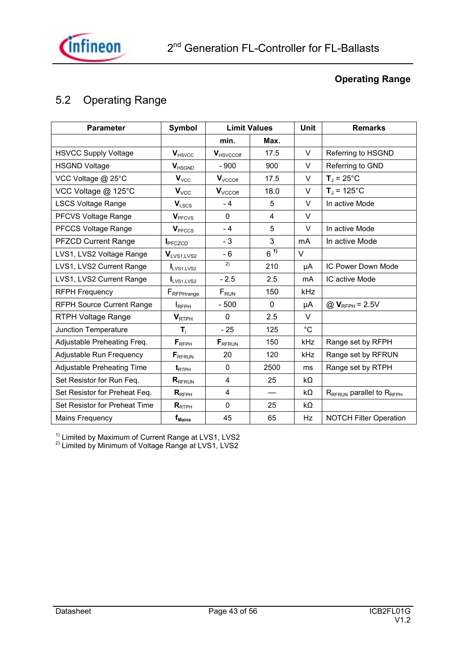

### **Operating Range**

### 5.2 Operating Range

| <b>Parameter</b>                 | <b>Symbol</b>             |                     | <b>Limit Values</b> | Unit        | <b>Remarks</b>                     |
|----------------------------------|---------------------------|---------------------|---------------------|-------------|------------------------------------|
|                                  |                           | min.                | Max.                |             |                                    |
| <b>HSVCC Supply Voltage</b>      | $V_{HSVCC}$               | <b>V</b> HSVCCOff   | 17.5                | $\vee$      | Referring to HSGND                 |
| <b>HSGND Voltage</b>             | $V_{HSGND}$               | $-900$              | 900                 | $\vee$      | Referring to GND                   |
| VCC Voltage @ 25°C               | $V_{\text{VCC}}$          | $V_{\text{VCCOff}}$ | 17.5                | V           | $T_{\rm J}$ = 25°C                 |
| VCC Voltage @ 125°C              | $V_{VCC}$                 | $V_{VCCOff}$        | 18.0                | V           | $T_J = 125^{\circ}C$               |
| <b>LSCS Voltage Range</b>        | $V_{LSCS}$                | $-4$                | 5                   | V           | In active Mode                     |
| PFCVS Voltage Range              | <b>V</b> <sub>PFCVS</sub> | $\mathbf{0}$        | 4                   | V           |                                    |
| PFCCS Voltage Range              | V <sub>PFCCS</sub>        | $-4$                | 5                   | V           | In active Mode                     |
| <b>PFZCD Current Range</b>       | I <sub>PFCZCD</sub>       | $-3$                | 3                   | mA          | In active Mode                     |
| LVS1, LVS2 Voltage Range         | V <sub>LVS1,LVS2</sub>    | - 6                 | $6^{11}$            | V           |                                    |
| LVS1, LVS2 Current Range         | I <sub>LVS1,LVS2</sub>    | 2)                  | 210                 | μA          | IC Power Down Mode                 |
| LVS1, LVS2 Current Range         | I <sub>LVS1,LVS2</sub>    | $-2.5$              | 2.5                 | mA          | IC active Mode                     |
| <b>RFPH Frequency</b>            | FRFPHrange                | $F_{RUN}$           | 150                 | kHz         |                                    |
| <b>RFPH Source Current Range</b> | <b>I</b> RFPH             | - 500               | $\Omega$            | μA          | $@V_{RFPH} = 2.5V$                 |
| <b>RTPH Voltage Range</b>        | V <sub>RTPH</sub>         | $\Omega$            | 2.5                 | V           |                                    |
| Junction Temperature             | $\mathbf{T}_\mathrm{i}$   | $-25$               | 125                 | $^{\circ}C$ |                                    |
| Adjustable Preheating Freq.      | $F_{RFPH}$                | $F_{RFRUN}$         | 150                 | kHz         | Range set by RFPH                  |
| Adjustable Run Frequency         | $F_{RFRUN}$               | 20                  | 120                 | kHz         | Range set by RFRUN                 |
| Adjustable Preheating Time       | $t_{\text{RTPH}}$         | $\mathbf{0}$        | 2500                | ms          | Range set by RTPH                  |
| Set Resistor for Run Feq.        | $R_{RFRUN}$               | $\overline{4}$      | 25                  | $k\Omega$   |                                    |
| Set Resistor for Preheat Feq.    | $R_{RFPH}$                | $\overline{4}$      |                     | $k\Omega$   | $R_{RFRUN}$ parallel to $R_{RFPH}$ |
| Set Resistor for Preheat Time    | $R_{RTPH}$                | 0                   | 25                  | kΩ          |                                    |
| <b>Mains Frequency</b>           | $f_{\text{Mains}}$        | 45                  | 65                  | Hz          | <b>NOTCH Filter Operation</b>      |

<sup>1)</sup> Limited by Maximum of Current Range at LVS1, LVS2

<sup>2)</sup> Limited by Minimum of Voltage Range at LVS1, LVS2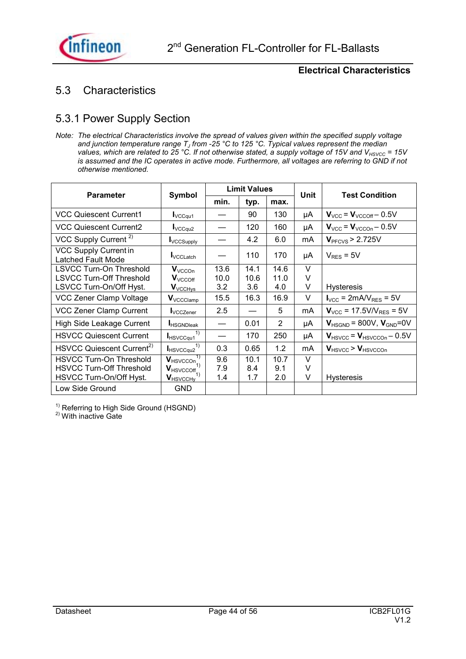

### 5.3 Characteristics

### 5.3.1 Power Supply Section

*Note: The electrical Characteristics involve the spread of values given within the specified supply voltage*  and junction temperature range T<sub>J</sub> from -25 °C to 125 °C. Typical values represent the median *values, which are related to 25 °C. If not otherwise stated, a supply voltage of 15V and V<sub>HSVCC</sub> = 15V is assumed and the IC operates in active mode. Furthermore, all voltages are referring to GND if not otherwise mentioned.* 

| <b>Parameter</b>                                          | Symbol                                                |      | <b>Limit Values</b> |                | Unit | <b>Test Condition</b>                            |
|-----------------------------------------------------------|-------------------------------------------------------|------|---------------------|----------------|------|--------------------------------------------------|
|                                                           |                                                       | min. | typ.                | max.           |      |                                                  |
| <b>VCC Quiescent Current1</b>                             | $I_{\text{VCCqu1}}$                                   |      | 90                  | 130            | μA   | $V_{VCC}$ = $V_{VCCOff}$ – 0.5V                  |
| <b>VCC Quiescent Current2</b>                             | $I_{\text{VCCqu2}}$                                   |      | 120                 | 160            | μA   | $V_{\text{VCC}}$ = $V_{\text{VCCOn}}$ – 0.5V     |
| VCC Supply Current <sup>2)</sup>                          | <b>I</b> VCCSupply                                    |      | 4.2                 | 6.0            | mA   | V <sub>PFCVS</sub> > 2.725V                      |
| <b>VCC Supply Current in</b><br><b>Latched Fault Mode</b> | VCCL atch                                             |      | 110                 | 170            | μA   | $V_{RES}$ = 5V                                   |
| <b>LSVCC Turn-On Threshold</b>                            | $V_{VCCOn}$                                           | 13.6 | 14.1                | 14.6           | V    |                                                  |
| <b>LSVCC Turn-Off Threshold</b>                           | $V_{VCCOff}$                                          | 10.0 | 10.6                | 11.0           | V    |                                                  |
| LSVCC Turn-On/Off Hyst.                                   | V <sub>VCCHys</sub>                                   | 3.2  | 3.6                 | 4.0            | V    | <b>Hysteresis</b>                                |
| VCC Zener Clamp Voltage                                   | $V_{\text{VCCLamp}}$                                  | 15.5 | 16.3                | 16.9           | V    | $I_{VCC}$ = 2mA/ $V_{RES}$ = 5V                  |
| <b>VCC Zener Clamp Current</b>                            | <b>I</b> VCCZener                                     | 2.5  |                     | 5              | mA   | $V_{VCC}$ = 17.5V/V <sub>RES</sub> = 5V          |
| High Side Leakage Current                                 | <b>HSGNDIeak</b>                                      |      | 0.01                | $\overline{2}$ | μA   | $V_{HSGND}$ = 800V, $V_{GND}$ =0V                |
| <b>HSVCC Quiescent Current</b>                            | 1)<br><b>HSVCCqu1</b>                                 |      | 170                 | 250            | μA   | $V_{\text{HSVCC}}$ = $V_{\text{HSVCCOn}}$ – 0.5V |
| HSVCC Quiescent Current <sup>2)</sup>                     | 1)<br><b>HSVCCqu2</b>                                 | 0.3  | 0.65                | 1.2            | mA   | $V_{\text{HSVCC}}$ > $V_{\text{HSVCCOn}}$        |
| <b>HSVCC Turn-On Threshold</b>                            | $\overline{\mathbf{V}_{\text{HSVCCOn}}^{\mathbf{1}}}$ | 9.6  | 10.1                | 10.7           | V    |                                                  |
| <b>HSVCC Turn-Off Threshold</b>                           | $V_{\text{HSVCCOff}}$ <sub>1)</sub>                   | 7.9  | 8.4                 | 9.1            | V    |                                                  |
| HSVCC Turn-On/Off Hyst.                                   | $\mathbf{V}_{\mathsf{HSVCCHV}}$                       | 1.4  | 1.7                 | 2.0            | V    | <b>Hysteresis</b>                                |
| Low Side Ground                                           | <b>GND</b>                                            |      |                     |                |      |                                                  |

 $1)$  Referring to High Side Ground (HSGND)

<sup>2)</sup> With inactive Gate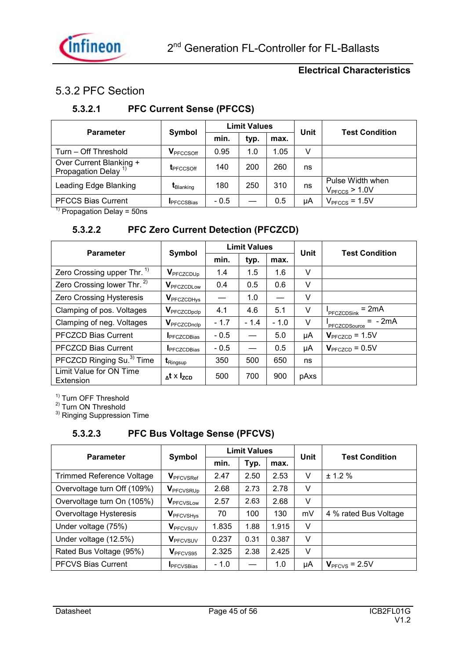

### 5.3.2 PFC Section

### **5.3.2.1 PFC Current Sense (PFCCS)**

| <b>Parameter</b>                                          | Symbol                |        | <b>Limit Values</b> |      | <b>Unit</b> | <b>Test Condition</b>               |  |
|-----------------------------------------------------------|-----------------------|--------|---------------------|------|-------------|-------------------------------------|--|
|                                                           |                       | min.   | typ.                | max. |             |                                     |  |
| Turn - Off Threshold                                      | V <sub>PFCCSOff</sub> | 0.95   | 1.0                 | 1.05 | V           |                                     |  |
| Over Current Blanking +<br>Propagation Delay <sup>1</sup> | <b>L</b> PFCCSOff     | 140    | 200                 | 260  | ns          |                                     |  |
| Leading Edge Blanking                                     | t <sub>Blanking</sub> | 180    | 250                 | 310  | ns          | Pulse Width when<br>$VPFCCS$ > 1.0V |  |
| <b>PFCCS Bias Current</b><br>$\overline{\phantom{a}}$     | <b>I</b> PFCCSBias    | $-0.5$ |                     | 0.5  | μA          | $VPFCCS = 1.5V$                     |  |

 $<sup>1</sup>$  Propagation Delay = 50ns</sup>

### **5.3.2.2 PFC Zero Current Detection (PFCZCD)**

| <b>Parameter</b>                       | Symbol                          |        | <b>Limit Values</b> |        | Unit | <b>Test Condition</b>        |
|----------------------------------------|---------------------------------|--------|---------------------|--------|------|------------------------------|
|                                        |                                 | min.   | typ.                | max.   |      |                              |
| Zero Crossing upper Thr. <sup>1)</sup> | <b>V</b> <sub>PFCZCDUp</sub>    | 1.4    | 1.5                 | 1.6    | V    |                              |
| Zero Crossing lower Thr. <sup>2)</sup> | <b>V</b> PFCZCDLow              | 0.4    | 0.5                 | 0.6    | V    |                              |
| Zero Crossing Hysteresis               | <b>V</b> PFCZCDHys              |        | 1.0                 |        | V    |                              |
| Clamping of pos. Voltages              | <b>V</b> PFCZCDpclp             | 4.1    | 4.6                 | 5.1    | V    | $= 2mA$<br><b>PFCZCDSink</b> |
| Clamping of neg. Voltages              | <b>V</b> PFCZCDnclp             | $-1.7$ | $-1.4$              | $-1.0$ | V    | $= -2mA$<br>PFCZCDSource     |
| <b>PFCZCD Bias Current</b>             | <b>I</b> PFCZCDBias             | $-0.5$ |                     | 5.0    | μA   | $V_{\text{PFCZCD}}$ = 1.5V   |
| <b>PFCZCD Bias Current</b>             | <b>I</b> PFCZCDBias             | $-0.5$ |                     | 0.5    | μA   | $V_{\text{PFCZCD}} = 0.5V$   |
| PFCZCD Ringing Su. <sup>3)</sup> Time  | $\textbf{t}_{\mathsf{Ringsup}}$ | 350    | 500                 | 650    | ns   |                              |
| Limit Value for ON Time<br>Extension   | $\Delta$ t x I <sub>zcp</sub>   | 500    | 700                 | 900    | pAxs |                              |

<sup>1)</sup> Turn OFF Threshold

<sup>2)</sup> Turn ON Threshold

<sup>3)</sup> Ringing Suppression Time

### **5.3.2.3 PFC Bus Voltage Sense (PFCVS)**

| <b>Parameter</b>                 | Symbol                       |        | <b>Limit Values</b> |       | Unit | <b>Test Condition</b> |
|----------------------------------|------------------------------|--------|---------------------|-------|------|-----------------------|
|                                  |                              | min.   | Typ.                | max.  |      |                       |
| <b>Trimmed Reference Voltage</b> | <b>V</b> PFCVSRef            | 2.47   | 2.50                | 2.53  | V    | ± 1.2%                |
| Overvoltage turn Off (109%)      | <b>V</b> PFCVSRUP            | 2.68   | 2.73                | 2.78  | V    |                       |
| Overvoltage turn On (105%)       | <b>V</b> PFCVSLow            | 2.57   | 2.63                | 2.68  | V    |                       |
| Overvoltage Hysteresis           | <b>V</b> <sub>PFCVSHys</sub> | 70     | 100                 | 130   | mV   | 4 % rated Bus Voltage |
| Under voltage (75%)              | <b>V</b> <sub>PFCVSUV</sub>  | 1.835  | 1.88                | 1.915 | V    |                       |
| Under voltage (12.5%)            | <b>V</b> <sub>PFCVSUV</sub>  | 0.237  | 0.31                | 0.387 | V    |                       |
| Rated Bus Voltage (95%)          | V <sub>PFCVS95</sub>         | 2.325  | 2.38                | 2.425 | V    |                       |
| <b>PFCVS Bias Current</b>        | <b>IPFCVSBias</b>            | $-1.0$ |                     | 1.0   | μA   | $VPFCVS = 2.5V$       |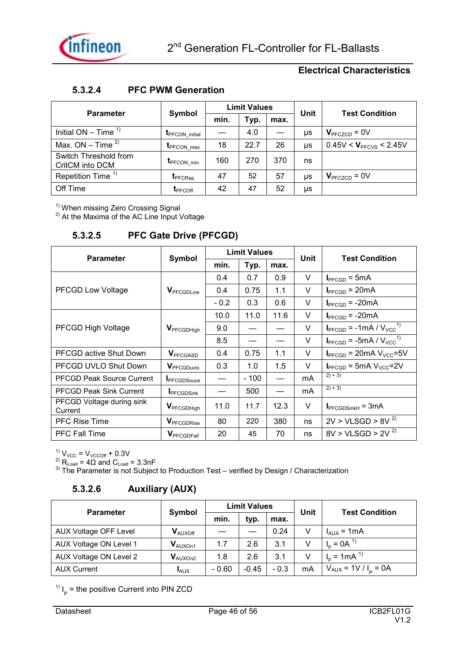### **5.3.2.4 PFC PWM Generation**

| <b>Parameter</b>                         | Symbol                  |      | <b>Limit Values</b> |      | <b>Unit</b> | <b>Test Condition</b>       |
|------------------------------------------|-------------------------|------|---------------------|------|-------------|-----------------------------|
|                                          |                         | min. | Typ.                | max. |             |                             |
| Initial $ON - Time$ <sup>1)</sup>        | <b>I</b> PFCON initial  |      | 4.0                 |      | μs          | $V_{\text{PFCZCD}} = 0V$    |
| Max. ON – Time $2$                       | <b>T</b> PFCON max      | 18   | 22.7                | 26   | μs          | $0.45V < V_{PFCVS} < 2.45V$ |
| Switch Threshold from<br>CritCM into DCM | $t_{\text{PFCON\_min}}$ | 160  | 270                 | 370  | ns          |                             |
| Repetition Time <sup>1)</sup>            | t <sub>PFCRep</sub>     | 47   | 52                  | 57   | μs          | $V_{\text{PFCZCD}} = 0V$    |
| Off Time                                 | $t_{\text{PFCOff}}$     | 42   | 47                  | 52   | μs          |                             |

<sup>1)</sup> When missing Zero Crossing Signal

 $2)$  At the Maxima of the AC Line Input Voltage

### **5.3.2.5 PFC Gate Drive (PFCGD)**

| <b>Parameter</b>                     | Symbol                        |        | <b>Limit Values</b> |      | Unit | <b>Test Condition</b>                                      |
|--------------------------------------|-------------------------------|--------|---------------------|------|------|------------------------------------------------------------|
|                                      |                               | min.   | Typ.                | max. |      |                                                            |
|                                      |                               | 0.4    | 0.7                 | 0.9  | V    | $I_{\text{PFCGD}} = 5 \text{mA}$                           |
| PFCGD Low Voltage                    | <b>V</b> PFCGDLow             | 0.4    | 0.75                | 1.1  | V    | $I_{\text{PFCGD}} = 20 \text{mA}$                          |
|                                      |                               | $-0.2$ | 0.3                 | 0.6  | V    | $I_{\text{PFCGD}} = -20 \text{mA}$                         |
|                                      |                               | 10.0   | 11.0                | 11.6 | V    | $I_{\text{PFCGD}} = -20 \text{mA}$                         |
| PFCGD High Voltage                   | <b>V</b> PFCGDHigh            | 9.0    |                     |      | V    | $I_{\text{PFCGD}}$ = -1mA / $V_{\text{VCC}}^{1}$           |
|                                      |                               | 8.5    |                     |      | V    | $I_{\text{PFCGD}}$ = -5mA / $V_{\text{VCC}}$ <sup>1)</sup> |
| <b>PFCGD active Shut Down</b>        | <b>V</b> <sub>PFCGASD</sub>   | 0.4    | 0.75                | 1.1  | V    | $I_{\text{PFCGD}}$ = 20mA $V_{\text{VCC}}$ =5V             |
| PFCGD UVLO Shut Down                 | <b>V</b> <sub>PFCGDuvlo</sub> | 0.3    | 1.0                 | 1.5  | V    | $I_{\text{PFCGD}}$ = 5mA $V_{\text{VCC}}$ =2V              |
| <b>PFCGD Peak Source Current</b>     | <b>IPFCGDSouce</b>            |        | $-100$              |      | mA   | $2) + 3)$                                                  |
| <b>PFCGD Peak Sink Current</b>       | <b>I</b> PFCGDSink            |        | 500                 |      | mA   | $2) + 3)$                                                  |
| PFCGD Voltage during sink<br>Current | <b>V</b> <sub>PFCGDHigh</sub> | 11.0   | 11.7                | 12.3 | V    | $I_{\text{PFCGDSinkH}} = 3 \text{mA}$                      |
| <b>PFC Rise Time</b>                 | <b>V</b> PFCGDRise            | 80     | 220                 | 380  | ns   | $2V > VLSGD > 8V^{2}$                                      |
| PFC Fall Time                        | <b>V</b> PFCGDFall            | 20     | 45                  | 70   | ns   | $8V > VLSGD > 2V^{2}$                                      |

 $^{1)}$  V<sub>VCC</sub> = V<sub>VCCOff</sub> + 0.3V

 $^{2)}$  R<sub>Load</sub> = 4 $\Omega$  and C<sub>Load</sub> = 3.3nF

 $3)$  The Parameter is not Subject to Production Test – verified by Design / Characterization

### **5.3.2.6 Auxiliary (AUX)**

| <b>Parameter</b>       | Symbol                         |         | <b>Limit Values</b> |        | <b>Unit</b> | <b>Test Condition</b>         |
|------------------------|--------------------------------|---------|---------------------|--------|-------------|-------------------------------|
|                        |                                | min.    | typ.                | max.   |             |                               |
| AUX Voltage OFF Level  | $\mathbf{V}_{\textrm{AUXOff}}$ |         |                     | 0.24   | V           | $I_{AUX}$ = 1mA               |
| AUX Voltage ON Level 1 | $V_{\text{AUXOn1}}$            | 1.7     | 2.6                 | 3.1    | V           | $I_p = 0A^{-1}$               |
| AUX Voltage ON Level 2 | $V_{\text{AUXOn2}}$            | 1.8     | 2.6                 | 3.1    |             | $I_p = 1 \text{ mA}^{1}$      |
| <b>AUX Current</b>     | $I_{AUX}$                      | $-0.60$ | $-0.45$             | $-0.3$ | mA          | $V_{AUX}$ = 1V / $I_{P}$ = 0A |

 $\mathsf{I}_{\mathsf{P}}$  = the positive Current into PIN ZCD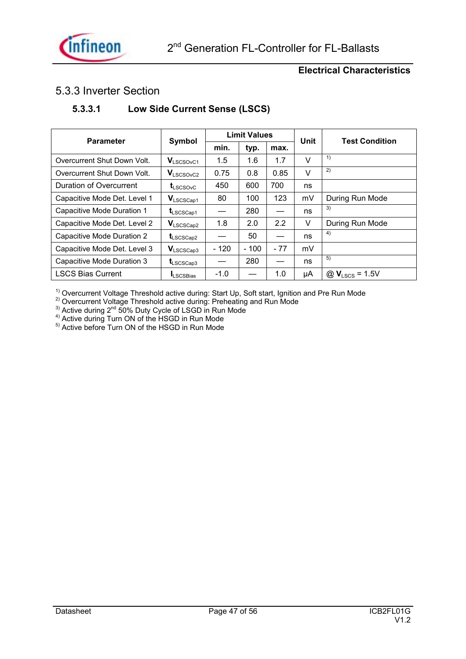

### 5.3.3 Inverter Section

### **5.3.3.1 Low Side Current Sense (LSCS)**

| <b>Parameter</b>             | Symbol                         |        | <b>Limit Values</b> |       | Unit | <b>Test Condition</b>             |
|------------------------------|--------------------------------|--------|---------------------|-------|------|-----------------------------------|
|                              |                                | min.   | typ.                | max.  |      |                                   |
| Overcurrent Shut Down Volt.  | $V_{LSCSOvC1}$                 | 1.5    | 1.6                 | 1.7   | V    | 1)                                |
| Overcurrent Shut Down Volt.  | $V_{LSCSOVC2}$                 | 0.75   | 0.8                 | 0.85  | V    | 2)                                |
| Duration of Overcurrent      | $t_{LSCSOVC}$                  | 450    | 600                 | 700   | ns   |                                   |
| Capacitive Mode Det. Level 1 | $\mathbf{V}_{\text{LSCSGap1}}$ | 80     | 100                 | 123   | mV   | During Run Mode                   |
| Capacitive Mode Duration 1   | $t_{LSCSCap1}$                 |        | 280                 |       | ns   | 3)                                |
| Capacitive Mode Det. Level 2 | $V_{LSCSCap2}$                 | 1.8    | 2.0                 | 2.2   | V    | During Run Mode                   |
| Capacitive Mode Duration 2   | $t_{LSCSCap2}$                 |        | 50                  |       | ns   | 4)                                |
| Capacitive Mode Det. Level 3 | $V_{LSCSCap3}$                 | $-120$ | $-100$              | $-77$ | mV   |                                   |
| Capacitive Mode Duration 3   | $t_{LSCSCap3}$                 |        | 280                 |       | ns   | 5)                                |
| <b>LSCS Bias Current</b>     | <b>ILSCSBias</b>               | $-1.0$ |                     | 1.0   | μA   | $\omega$ V <sub>LSCS</sub> = 1.5V |

<sup>1)</sup> Overcurrent Voltage Threshold active during: Start Up, Soft start, Ignition and Pre Run Mode

 $^{2)}$  Overcurrent Voltage Threshold active during: Preheating and Run Mode

 $^{3)}$  Active during 2<sup>nd</sup> 50% Duty Cycle of LSGD in Run Mode

 $4)$  Active during Turn ON of the  $HSGD$  in Run Mode

<sup>5)</sup> Active before Turn ON of the HSGD in Run Mode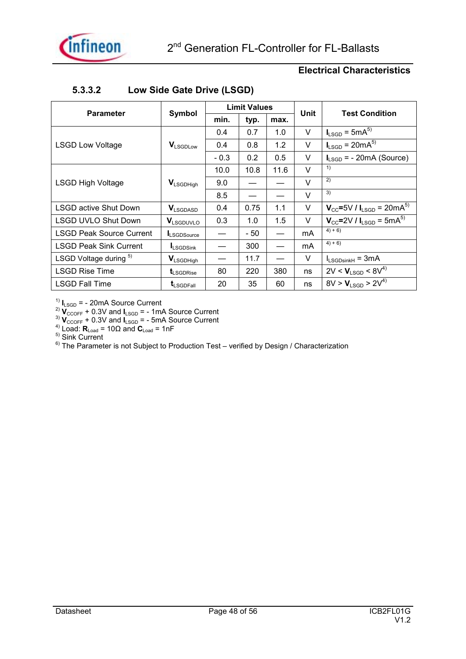| <b>Parameter</b>                | Symbol                |        | <b>Limit Values</b> |      | Unit   | <b>Test Condition</b>                                        |
|---------------------------------|-----------------------|--------|---------------------|------|--------|--------------------------------------------------------------|
|                                 |                       | min.   | typ.                | max. |        |                                                              |
|                                 |                       | 0.4    | 0.7                 | 1.0  | V      | $I_{LSGD}$ = 5mA <sup>5)</sup>                               |
| <b>LSGD Low Voltage</b>         | <b>VLSGDLow</b>       | 0.4    | 0.8                 | 1.2  | V      | $I_{LSGD}$ = 20mA <sup>5)</sup>                              |
|                                 |                       | $-0.3$ | 0.2                 | 0.5  | V      | $I_{LSGD}$ = - 20mA (Source)                                 |
|                                 |                       | 10.0   | 10.8                | 11.6 | $\vee$ | 1)                                                           |
| <b>LSGD High Voltage</b>        | <b>V</b> LSGDHigh     | 9.0    |                     |      | $\vee$ | 2)                                                           |
|                                 |                       | 8.5    |                     |      | $\vee$ | 3)                                                           |
| <b>LSGD active Shut Down</b>    | <b>V</b> LSGDASD      | 0.4    | 0.75                | 1.1  | V      | $V_{\text{CC}}$ =5V / $I_{\text{LSGD}}$ = 20mA <sup>5)</sup> |
| <b>LSGD UVLO Shut Down</b>      | <b>V</b> LSGDUVLO     | 0.3    | 1.0                 | 1.5  | $\vee$ | $V_{CC}$ =2V / $I_{LSGD}$ = 5mA <sup>5)</sup>                |
| <b>LSGD Peak Source Current</b> | LSGDSource            |        | - 50                |      | mA     | $4) + 6)$                                                    |
| <b>LSGD Peak Sink Current</b>   | LSGDSink              |        | 300                 |      | mA     | $4+6$                                                        |
| LSGD Voltage during 5)          | <b>VLSGDHigh</b>      |        | 11.7                |      | V      | $I_{LSGDisinkH} = 3mA$                                       |
| <b>LSGD Rise Time</b>           | t <sub>LSGDRise</sub> | 80     | 220                 | 380  | ns     | $2V < V_{LSGD} < 8V^{4}$                                     |
| <b>LSGD Fall Time</b>           | $t_{\text{LSGDFall}}$ | 20     | 35                  | 60   | ns     | $8V > V_{LSGD} > 2V^{4}$                                     |

### **5.3.3.2 Low Side Gate Drive (LSGD)**

 $\frac{1}{2}$ **I**<sub>LSGD</sub> = - 20mA Source Current

 $\frac{2}{N}$   $\mathbf{V}_{\text{CCOFF}}$  + 0.3V and  $\mathbf{I}_{\text{LSGD}}$  = - 1mA Source Current

 $\frac{3}{3}$   $V_{CCOFF}$  + 0.3V and  $I_{LSGD}$  = - 5mA Source Current

<sup>4)</sup> Load:  $\mathbf{R}_{\text{Load}} = 10\Omega$  and  $\mathbf{C}_{\text{Load}} = 1$ nF

5) Sink Current

 $6)$  The Parameter is not Subject to Production Test – verified by Design / Characterization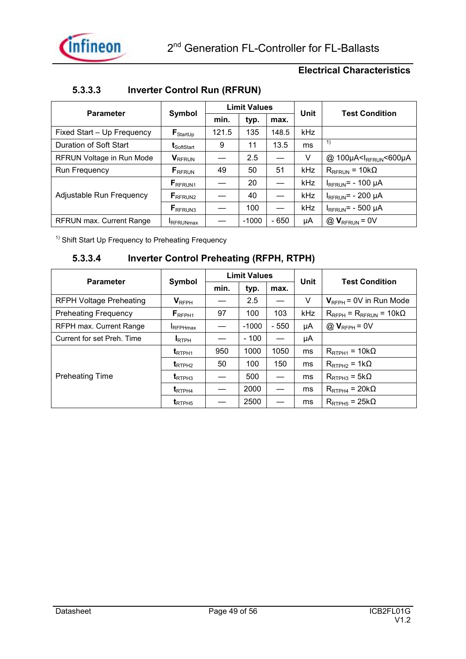

### **5.3.3.3 Inverter Control Run (RFRUN)**

| <b>Parameter</b>           | Symbol                          |       | <b>Limit Values</b> |        | Unit | <b>Test Condition</b>                           |
|----------------------------|---------------------------------|-------|---------------------|--------|------|-------------------------------------------------|
|                            |                                 | min.  | typ.                | max.   |      |                                                 |
| Fixed Start - Up Frequency | $\textbf{F}_{\text{StartUp}}$   | 121.5 | 135                 | 148.5  | kHz  |                                                 |
| Duration of Soft Start     | $t_{\text{SoftStart}}$          | 9     | 11                  | 13.5   | ms   | $\left( \begin{array}{c} 1 \end{array} \right)$ |
| RFRUN Voltage in Run Mode  | <b>V</b> RFRUN                  |       | 2.5                 |        | V    | @ 100µA <irfrun<600µa< td=""></irfrun<600µa<>   |
| Run Frequency              | $F_{RFRUN}$                     | 49    | 50                  | 51     | kHz  | $R_{RFRUN}$ = 10k $\Omega$                      |
|                            | $F_{RFRUN1}$                    |       | 20                  |        | kHz  | $I_{RFRUN}$ = - 100 µA                          |
| Adjustable Run Frequency   | ${\mathsf F}_{\mathsf{RFRUN2}}$ |       | 40                  |        | kHz  | $I_{RFRUN}$ = - 200 µA                          |
|                            | $F_{RFRUN3}$                    |       | 100                 |        | kHz  | $I_{RFRUN}$ = - 500 µA                          |
| RFRUN max. Current Range   | <b>IRFRUNmax</b>                |       | $-1000$             | $-650$ | μA   | $@$ $V_{RFRUN} = 0V$                            |

 $1)$  Shift Start Up Frequency to Preheating Frequency

### **5.3.3.4 Inverter Control Preheating (RFPH, RTPH)**

| <b>Parameter</b>               | Symbol                        |      | <b>Limit Values</b> |        | Unit | <b>Test Condition</b>                   |
|--------------------------------|-------------------------------|------|---------------------|--------|------|-----------------------------------------|
|                                |                               | min. | typ.                | max.   |      |                                         |
| <b>RFPH Voltage Preheating</b> | $V_{RFPH}$                    |      | 2.5                 |        | V    | $V_{RFPH}$ = 0V in Run Mode             |
| <b>Preheating Frequency</b>    | $F_{RFPH1}$                   | 97   | 100                 | 103    | kHz  | $R_{RFPH}$ = $R_{RFRUN}$ = 10k $\Omega$ |
| RFPH max. Current Range        | <b>IRFPHmax</b>               |      | $-1000$             | $-550$ | μA   | $@V_{RFPH} = 0V$                        |
| Current for set Preh. Time     | <b>IRTPH</b>                  |      | $-100$              |        | μA   |                                         |
|                                | $t_{RTPH1}$                   | 950  | 1000                | 1050   | ms   | $R_{\text{RTPH1}} = 10 \text{k}\Omega$  |
|                                | $t_{\tiny{\text{RTPH2}}}$     | 50   | 100                 | 150    | ms   | $R_{\text{RTPH2}} = 1k\Omega$           |
| <b>Preheating Time</b>         | $t_{RTPH3}$                   |      | 500                 |        | ms   | $R_{\text{RTPH3}} = 5k\Omega$           |
|                                | $\textbf{t}_{\textsf{RTPH4}}$ |      | 2000                |        | ms   | $R_{\text{RTPH4}}$ = 20k $\Omega$       |
|                                | $t_{RTPH5}$                   |      | 2500                |        | ms   | $R_{RTPH5}$ = 25k $\Omega$              |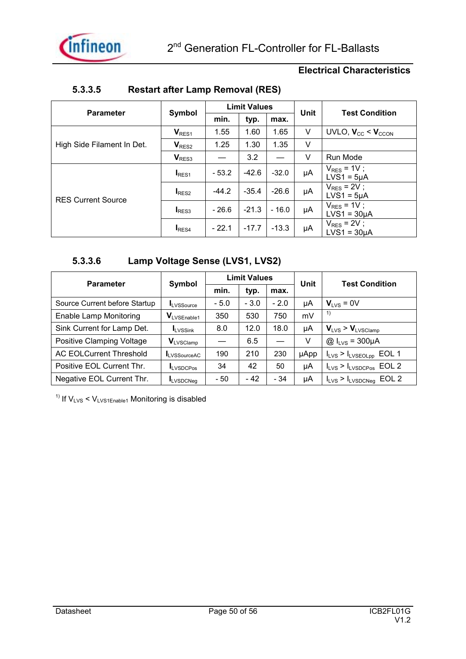

| <b>Parameter</b>           |                   |         | <b>Limit Values</b> |         | Unit | <b>Test Condition</b>                |
|----------------------------|-------------------|---------|---------------------|---------|------|--------------------------------------|
|                            | Symbol            | min.    | typ.                | max.    |      |                                      |
|                            | V <sub>RES1</sub> | 1.55    | 1.60                | 1.65    | V    | UVLO, $V_{CC}$ < $V_{CCON}$          |
| High Side Filament In Det. | V <sub>RES2</sub> | 1.25    | 1.30                | 1.35    | V    |                                      |
|                            | V <sub>RES3</sub> |         | 3.2                 |         | V    | Run Mode                             |
|                            | I <sub>RES1</sub> | $-53.2$ | $-42.6$             | $-32.0$ | μA   | $V_{RES}$ = 1V;<br>$LVS1 = 5\mu A$   |
| <b>RES Current Source</b>  | RES2              | $-44.2$ | $-35.4$             | $-26.6$ | μA   | $V_{RES}$ = 2V;<br>$LVS1 = 5\mu A$   |
|                            | $I_{RES3}$        | - 26.6  | $-21.3$             | $-16.0$ | μA   | $V_{RES}$ = 1V;<br>$LVS1 = 30\mu A$  |
|                            | I <sub>RES4</sub> | $-22.1$ | $-17.7$             | $-13.3$ | μA   | $V_{RES}$ = 2V ;<br>$LVS1 = 30\mu A$ |

### **5.3.3.5 Restart after Lamp Removal (RES)**

### **5.3.3.6 Lamp Voltage Sense (LVS1, LVS2)**

| <b>Parameter</b>               | Symbol                                  |        | <b>Limit Values</b> |        | Unit        | <b>Test Condition</b>                          |
|--------------------------------|-----------------------------------------|--------|---------------------|--------|-------------|------------------------------------------------|
|                                |                                         | min.   | typ.                | max.   |             |                                                |
| Source Current before Startup  | LVSSource                               | $-5.0$ | $-3.0$              | $-2.0$ | μA          | $V_{\text{IVS}} = 0V$                          |
| <b>Enable Lamp Monitoring</b>  | $\mathbf{V}_{\text{LVSE}\text{nable1}}$ | 350    | 530                 | 750    | mV          | 1)                                             |
| Sink Current for Lamp Det.     | <b>LVSSink</b>                          | 8.0    | 12.0                | 18.0   | μA          | $V_{LVS}$ > $V_{LVSClamp}$                     |
| Positive Clamping Voltage      | $V_{LVSClamp}$                          |        | 6.5                 |        | V           | $@I_{LVS} = 300 \mu A$                         |
| <b>AC EOLCurrent Threshold</b> | <b>LVSSourceAC</b>                      | 190    | 210                 | 230    | <b>µApp</b> | $I_{LVS}$ > $I_{LVSEOLpp}$ EOL 1               |
| Positive EOL Current Thr.      | <b>ILVSDCPos</b>                        | 34     | 42                  | 50     | μA          | $I_{LVS}$ > $I_{LVSDCPos}$ EOL 2               |
| Negative EOL Current Thr.      | <b>ILVSDCNeg</b>                        | - 50   | $-42$               | $-34$  | μA          | EOL <sub>2</sub><br>$I_{LVS}$ > $I_{LVSDCNeg}$ |

<sup>1)</sup> If  $V_{LVS}$  <  $V_{LVS1Enable1}$  Monitoring is disabled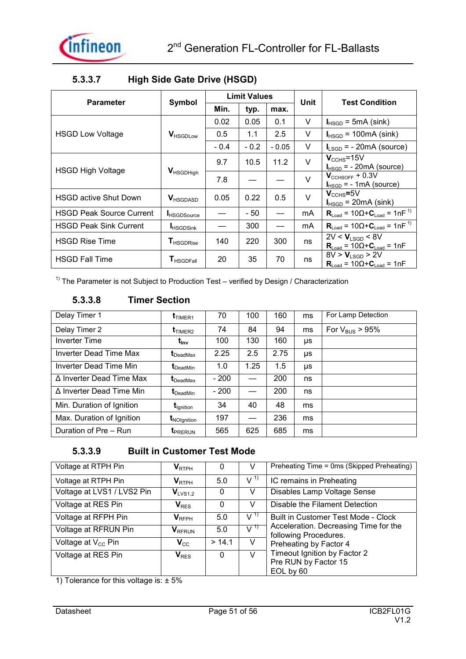

| <b>Parameter</b>                |                              |        | <b>Limit Values</b> |         | Unit   | <b>Test Condition</b>                                          |
|---------------------------------|------------------------------|--------|---------------------|---------|--------|----------------------------------------------------------------|
|                                 | Symbol                       | Min.   | typ.                | max.    |        |                                                                |
|                                 |                              | 0.02   | 0.05                | 0.1     | V      | $I_{HSGD}$ = 5mA (sink)                                        |
| <b>HSGD Low Voltage</b>         | <b>V</b> HSGDLow             | 0.5    | 1.1                 | 2.5     | V      | $I_{HSGD}$ = 100mA (sink)                                      |
|                                 |                              | $-0.4$ | $-0.2$              | $-0.05$ | V      | $I_{LSGD}$ = - 20mA (source)                                   |
| <b>HSGD High Voltage</b>        |                              | 9.7    | 10.5                | 11.2    | V      | $V_{\text{CCHS}} = 15V$<br>$I_{HSGD}$ = - 20mA (source)        |
|                                 | <b>V</b> HSGDHigh            | 7.8    |                     |         | V      | $V_{\text{CCHSOFF}} + 0.3V$<br>$I_{HSGD}$ = - 1mA (source)     |
| <b>HSGD active Shut Down</b>    | <b>V</b> HSGDASD             | 0.05   | 0.22                | 0.5     | $\vee$ | $\rm V_{\rm CCHS}$ =5V<br>$I_{HSGD}$ = 20mA (sink)             |
| <b>HSGD Peak Source Current</b> | <b>HSGDSource</b>            |        | - 50                |         | mA     | $R_{\text{Load}} = 10\Omega + C_{\text{Load}} = 1nF^{1}$       |
| <b>HSGD Peak Sink Current</b>   | <b>HSGDSink</b>              |        | 300                 |         | mA     | $R_{\text{Load}} = 10\Omega + C_{\text{Load}} = 1nF^{1}$       |
| <b>HSGD Rise Time</b>           | <b>T</b> HSGDRise            | 140    | 220                 | 300     | ns     | $2V < V_{LSGD} < 8V$<br>$R_{Load} = 10\Omega + C_{Load} = 1nF$ |
| <b>HSGD Fall Time</b>           | <b>T</b> <sub>HSGDFall</sub> | 20     | 35                  | 70      | ns     | $8V > V_{LSGD} > 2V$<br>$R_{Load} = 10\Omega + C_{Load} = 1nF$ |

### **5.3.3.7 High Side Gate Drive (HSGD)**

 $1)$  The Parameter is not Subject to Production Test – verified by Design / Characterization

### **5.3.3.8 Timer Section**

| Delay Timer 1             | $t_{TIMER1}$                   | 70     | 100  | 160  | ms | For Lamp Detection         |
|---------------------------|--------------------------------|--------|------|------|----|----------------------------|
| Delay Timer 2             | $t_{TIMER2}$                   | 74     | 84   | 94   | ms | For $V_{\text{BUS}}$ > 95% |
| <b>Inverter Time</b>      | $t_{\text{inv}}$               | 100    | 130  | 160  | μs |                            |
| Inverter Dead Time Max    | $t_{\text{DeadMax}}$           | 2.25   | 2.5  | 2.75 | μs |                            |
| Inverter Dead Time Min    | $t_{\text{DeadMin}}$           | 1.0    | 1.25 | 1.5  | μs |                            |
| ∆ Inverter Dead Time Max  | $\mathbf{t}_{\text{DeadMax}}$  | $-200$ |      | 200  | ns |                            |
| Δ Inverter Dead Time Min  | $t_{\text{DeadMin}}$           | $-200$ |      | 200  | ns |                            |
| Min. Duration of Ignition | <b>L</b> <sub>lgnition</sub>   | 34     | 40   | 48   | ms |                            |
| Max. Duration of Ignition | <b>t</b> <sub>NOIgnition</sub> | 197    |      | 236  | ms |                            |
| Duration of Pre - Run     | <b>I</b> PRERUN                | 565    | 625  | 685  | ms |                            |

### **5.3.3.9 Built in Customer Test Mode**

| Voltage at RTPH Pin            | $\mathsf{V}_{\mathsf{RTPH}}$ | 0      | V              | Preheating Time = 0ms (Skipped Preheating)                     |
|--------------------------------|------------------------------|--------|----------------|----------------------------------------------------------------|
| Voltage at RTPH Pin            | $\mathsf{V}_{\mathsf{RTPH}}$ | 5.0    | V <sup>1</sup> | IC remains in Preheating                                       |
| Voltage at LVS1 / LVS2 Pin     | $V_{LVS1,2}$                 | 0      | V              | Disables Lamp Voltage Sense                                    |
| Voltage at RES Pin             | $V_{RES}$                    | 0      | V              | Disable the Filament Detection                                 |
| Voltage at RFPH Pin            | $V_{RFPH}$                   | 5.0    | $V^{(1)}$      | Built in Customer Test Mode - Clock                            |
| Voltage at RFRUN Pin           | <b>V</b> RFRUN               | 5.0    | $V^{(1)}$      | Acceleration. Decreasing Time for the<br>following Procedures. |
| Voltage at V <sub>cc</sub> Pin | $V_{\rm CC}$                 | > 14.1 | V              | Preheating by Factor 4                                         |
| Voltage at RES Pin             | $\mathbf{V}_{\text{RES}}$    | 0      | V              | Timeout Ignition by Factor 2                                   |
|                                |                              |        |                | Pre RUN by Factor 15                                           |
|                                |                              |        |                | EOL by 60                                                      |

1) Tolerance for this voltage is: ± 5%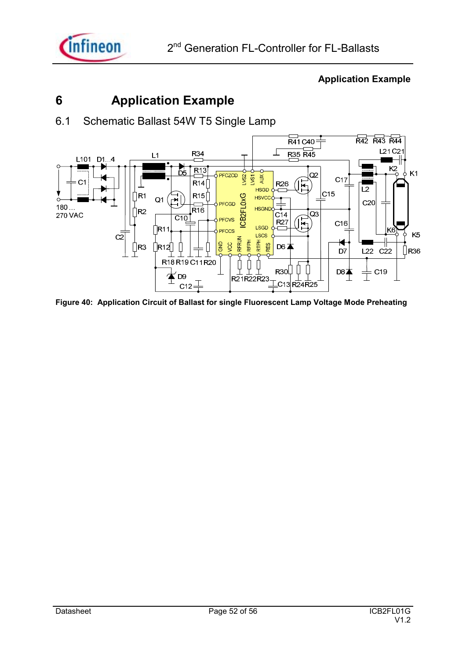

### **6 Application Example**

6.1 Schematic Ballast 54W T5 Single Lamp



#### **Figure 40: Application Circuit of Ballast for single Fluorescent Lamp Voltage Mode Preheating**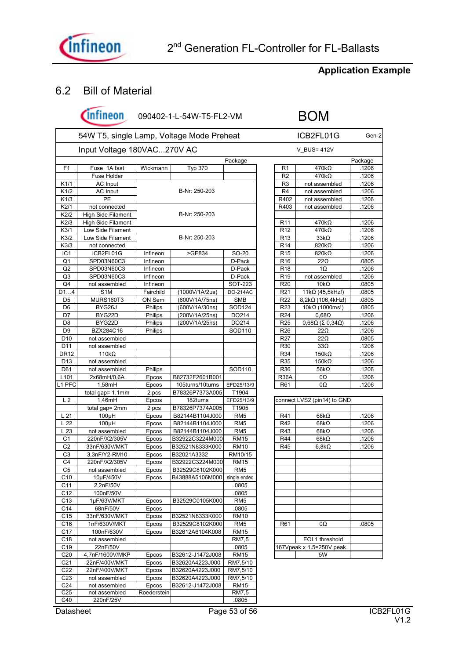

### 6.2 Bill of Material

(Infineon

090402-1-L-54W-T5-FL2-VM BOM

|                  | 54W T5, single Lamp, Voltage Mode Preheat<br>Input Voltage 180VAC270V AC |             |                              |                 |                 | ICB2FL01G<br>V_BUS= 412V                |         |  |
|------------------|--------------------------------------------------------------------------|-------------|------------------------------|-----------------|-----------------|-----------------------------------------|---------|--|
|                  |                                                                          |             |                              |                 |                 |                                         |         |  |
|                  |                                                                          |             |                              | Package         |                 |                                         | Package |  |
| F1               | Fuse 1A fast                                                             | Wickmann    | Typ 370                      |                 | R1              | $470k\Omega$                            | .1206   |  |
|                  | Fuse Holder                                                              |             |                              |                 | R <sub>2</sub>  | $470k\Omega$                            | .1206   |  |
| K1/1             | <b>AC</b> Input                                                          |             |                              |                 | R <sub>3</sub>  | not assembled                           | .1206   |  |
| K1/2             | AC Input                                                                 |             | B-Nr: 250-203                |                 | R <sub>4</sub>  | not assembled                           | .1206   |  |
| K1/3             | PE                                                                       |             |                              |                 | R402            | not assembled                           | .1206   |  |
| K2/1             | not connected                                                            |             |                              |                 | R403            | not assembled                           | .1206   |  |
| K2/2             | High Side Filament                                                       |             | B-Nr: 250-203                |                 |                 |                                         |         |  |
| K2/3             | <b>High Side Filament</b>                                                |             |                              |                 | R <sub>11</sub> | $470k\Omega$                            | .1206   |  |
| K3/1             | Low Side Filament                                                        |             |                              |                 | R <sub>12</sub> | $470k\Omega$                            | .1206   |  |
| K3/2             | Low Side Filament                                                        |             | B-Nr: 250-203                |                 | R <sub>13</sub> | $33k\Omega$                             | .1206   |  |
| K3/3             | not connected                                                            |             |                              |                 | R <sub>14</sub> | 820kΩ                                   | .1206   |  |
| IC <sub>1</sub>  |                                                                          | Infineon    | >GE834                       |                 |                 |                                         |         |  |
|                  | ICB2FL01G                                                                |             |                              | SO-20           | R <sub>15</sub> | 820 $k\Omega$                           | .1206   |  |
| Q1               | SPD03N60C3                                                               | Infineon    |                              | D-Pack          | R <sub>16</sub> | $22\Omega$                              | .0805   |  |
| Q <sub>2</sub>   | SPD03N60C3                                                               | Infineon    |                              | D-Pack          | R <sub>18</sub> | $1\Omega$                               | .1206   |  |
| Q3               | SPD03N60C3                                                               | Infineon    |                              | D-Pack          | R <sub>19</sub> | not assembled                           | .1206   |  |
| Q4               | not assembled                                                            | Infineon    |                              | SOT-223         | R <sub>20</sub> | $10k\Omega$                             | .0805   |  |
| D14              | S <sub>1</sub> M                                                         | Fairchild   | $(1000V/1A/2\mu s)$          | DO-214AC        | R <sub>21</sub> | $11k\Omega$ (45,5kHz!)                  | .0805   |  |
| D5               | MURS160T3                                                                | ON Semi     | (600V/1A/75ns)               | <b>SMB</b>      | R22             | $8,2k\Omega$ (106,4kHz!)                | .0805   |  |
| D <sub>6</sub>   | BYG26J                                                                   | Philips     | (600V/1A/30ns)               | SOD124          | R <sub>23</sub> | 10kΩ (1000ms!)                          | .0805   |  |
| D7               | BYG22D                                                                   | Philips     | (200V/1A/25ns)               | DO214           | R <sub>24</sub> | $0,68\Omega$                            | .1206   |  |
| D8               | BYG22D                                                                   | Philips     | (200V/1A/25ns)               | DO214           | R <sub>25</sub> | $0,68\Omega$ ( $\Sigma$ 0,34 $\Omega$ ) | .1206   |  |
| D <sub>9</sub>   | BZX284C16                                                                | Philips     |                              | SOD110          | R <sub>26</sub> | $22\Omega$                              | .1206   |  |
| D <sub>10</sub>  | not assembled                                                            |             |                              |                 | R <sub>27</sub> | $22\Omega$                              | .0805   |  |
| D11              | not assembled                                                            |             |                              |                 | R30             | $33\Omega$                              | .1206   |  |
| <b>DR12</b>      | 110 $k\Omega$                                                            |             |                              |                 | R34             | $150k\Omega$                            | .1206   |  |
| D <sub>13</sub>  | not assembled                                                            |             |                              |                 | R35             | $150k\Omega$                            | .1206   |  |
| D61              | not assembled                                                            | Philips     |                              | SOD110          | R36             | 56k $\Omega$                            | .1206   |  |
| L <sub>101</sub> | 2x68mH/0,6A                                                              | Epcos       | B82732F2601B001              |                 | <b>R36A</b>     | 0Ω                                      | .1206   |  |
| L1 PFC           | 1,58mH                                                                   | Epcos       | 105turns/10turns             | EFD25/13/9      | R <sub>61</sub> | 0Ω                                      | .1206   |  |
|                  | total gap= 1.1mm                                                         | 2 pcs       | B78326P7373A005              | T1904           |                 |                                         |         |  |
| L <sub>2</sub>   | 1,46mH                                                                   | Epcos       | 182turns                     | EFD25/13/9      |                 | connect LVS2 (pin14) to GND             |         |  |
|                  | total gap= 2mm                                                           | 2 pcs       | B78326P7374A005              | T1905           |                 |                                         |         |  |
| L21              | $100\mu H$                                                               | Epcos       | B82144B1104J000              | RM <sub>5</sub> | R41             | 68k $\Omega$                            | .1206   |  |
| L <sub>22</sub>  | $100\mu H$                                                               | Epcos       | B82144B1104J000              | RM <sub>5</sub> | R42             | 68k $\Omega$                            | .1206   |  |
|                  |                                                                          |             |                              |                 |                 |                                         |         |  |
| L23              | not assembled                                                            | Epcos       | B82144B1104J000              | RM <sub>5</sub> | R43             | 68k $\Omega$                            | .1206   |  |
| C <sub>1</sub>   | 220nF/X2/305V                                                            | Epcos       | B32922C3224M000              | <b>RM15</b>     | R44             | 68k $\Omega$                            | .1206   |  |
| C2               | 33nF/630V/MKT                                                            | Epcos       | B32521N8333K000              | <b>RM10</b>     | R45             | $6,8k\Omega$                            | .1206   |  |
| C3               | 3,3nF/Y2-RM10                                                            | Epcos       | B32021A3332                  | RM10/15         |                 |                                         |         |  |
| C4               | 220nF/X2/305V                                                            | Epcos       | B32922C3224M000              | <b>RM15</b>     |                 |                                         |         |  |
| C <sub>5</sub>   | not assembled                                                            | Epcos       | B32529C8102K000              | RM <sub>5</sub> |                 |                                         |         |  |
| C10              | 10µF/450V                                                                | Epcos       | B43888A5106M000 single ended |                 |                 |                                         |         |  |
| C11              | 2,2nF/50V                                                                |             |                              | .0805           |                 |                                         |         |  |
| C <sub>12</sub>  | 100nF/50V                                                                |             |                              | .0805           |                 |                                         |         |  |
| C <sub>13</sub>  | 1µF/63V/MKT                                                              | Epcos       | B32529C0105K000              | RM <sub>5</sub> |                 |                                         |         |  |
| C14              | 68nF/50V                                                                 | Epcos       |                              | .0805           |                 |                                         |         |  |
| C <sub>15</sub>  | 33nF/630V/MKT                                                            | Epcos       | B32521N8333K000              | <b>RM10</b>     |                 |                                         |         |  |
| C <sub>16</sub>  | 1nF/630V/MKT                                                             | Epcos       | B32529C8102K000              | RM <sub>5</sub> | R61             | 0Ω                                      | .0805   |  |
| C <sub>17</sub>  | 100nF/630V                                                               | Epcos       | B32612A6104K008              | <b>RM15</b>     |                 |                                         |         |  |
| C <sub>18</sub>  | not assembled                                                            |             |                              | <b>RM7.5</b>    |                 | EOL1 threshold                          |         |  |
| C <sub>19</sub>  | 22nF/50V                                                                 |             |                              | .0805           |                 | 167Vpeak x 1.5=250V peak                |         |  |
| C <sub>20</sub>  | 4,7nF/1600V/MKP                                                          | Epcos       | B32612-J1472J008             | <b>RM15</b>     |                 | 5W                                      |         |  |
| C <sub>21</sub>  | 22nF/400V/MKT                                                            | Epcos       | B32620A4223J000              | RM7,5/10        |                 |                                         |         |  |
| C <sub>22</sub>  | 22nF/400V/MKT                                                            | Epcos       | B32620A4223J000              | RM7,5/10        |                 |                                         |         |  |
|                  |                                                                          |             |                              |                 |                 |                                         |         |  |
| C <sub>23</sub>  | not assembled                                                            | Epcos       | B32620A4223J000              | RM7,5/10        |                 |                                         |         |  |
| C <sub>24</sub>  | not assembled                                                            | Epcos       | B32612-J1472J008             | <b>RM15</b>     |                 |                                         |         |  |
| C <sub>25</sub>  | not assembled                                                            | Roederstein |                              | <b>RM7,5</b>    |                 |                                         |         |  |
| C40              | 220nF/25V                                                                |             |                              | .0805           |                 |                                         |         |  |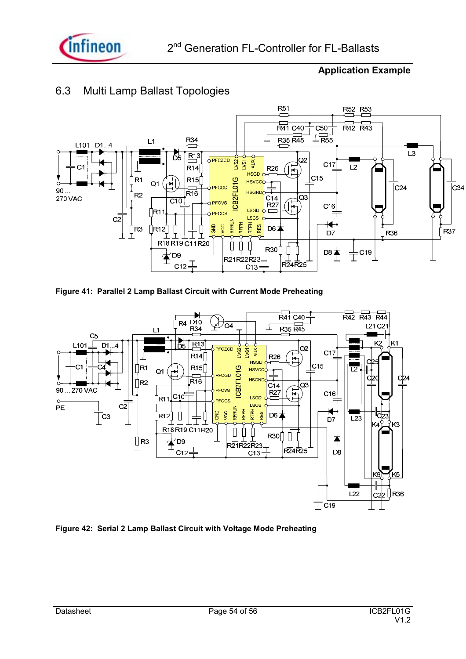

### 6.3 Multi Lamp Ballast Topologies



**Figure 41: Parallel 2 Lamp Ballast Circuit with Current Mode Preheating** 



**Figure 42: Serial 2 Lamp Ballast Circuit with Voltage Mode Preheating**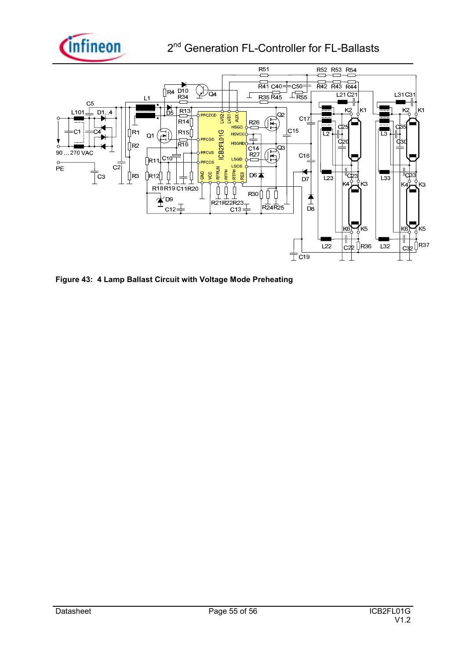

### 2<sup>nd</sup> Generation FL-Controller for FL-Ballasts



**Figure 43: 4 Lamp Ballast Circuit with Voltage Mode Preheating**